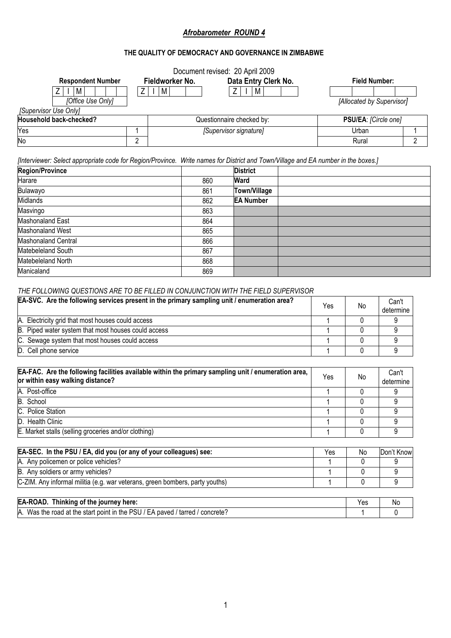# *Afrobarometer ROUND 4*

# **THE QUALITY OF DEMOCRACY AND GOVERNANCE IN ZIMBABWE**

|                            |                |                 | Document revised: 20 April 2009 |  |                           |
|----------------------------|----------------|-----------------|---------------------------------|--|---------------------------|
| <b>Respondent Number</b>   |                | Fieldworker No. | Data Entry Clerk No.            |  | <b>Field Number:</b>      |
| M                          | Z              | M               | M                               |  |                           |
| [Office Use Only]          |                |                 |                                 |  | [Allocated by Supervisor] |
| [Supervisor Use Only]      |                |                 |                                 |  |                           |
| Household back-checked?    |                |                 | Questionnaire checked by:       |  | PSU/EA: [Circle one]      |
| Yes                        |                |                 | [Supervisor signature]          |  | Urban                     |
| No                         | $\overline{2}$ |                 |                                 |  | Rural                     |
|                            |                | 860             |                                 |  |                           |
| Harare                     |                |                 | Ward                            |  |                           |
| Bulawayo                   |                | 861             | Town/Village                    |  |                           |
| Midlands                   |                | 862             | <b>EA Number</b>                |  |                           |
| Masvingo                   |                | 863             |                                 |  |                           |
| Mashonaland East           |                | 864             |                                 |  |                           |
| Mashonaland West           |                | 865             |                                 |  |                           |
| <b>Mashonaland Central</b> |                | 866             |                                 |  |                           |
| Matebeleland South         |                | 867             |                                 |  |                           |
| Matebeleland North         |                | 868             |                                 |  |                           |
| Manicaland                 |                | 869             |                                 |  |                           |

# *THE FOLLOWING QUESTIONS ARE TO BE FILLED IN CONJUNCTION WITH THE FIELD SUPERVISOR*

| EA-SVC. Are the following services present in the primary sampling unit / enumeration area? | Yes | No | Can't<br>determine |
|---------------------------------------------------------------------------------------------|-----|----|--------------------|
| A. Electricity grid that most houses could access                                           |     |    |                    |
| B. Piped water system that most houses could access                                         |     |    |                    |
| C. Sewage system that most houses could access                                              |     |    |                    |
| D. Cell phone service                                                                       |     |    |                    |

| EA-FAC. Are the following facilities available within the primary sampling unit / enumeration area, I<br>or within easy walking distance? | Yes | No | Can't<br>determine |
|-------------------------------------------------------------------------------------------------------------------------------------------|-----|----|--------------------|
| A. Post-office                                                                                                                            |     |    |                    |
| B. School                                                                                                                                 |     |    |                    |
| C. Police Station                                                                                                                         |     |    |                    |
| D. Health Clinic                                                                                                                          |     |    |                    |
| E. Market stalls (selling groceries and/or clothing)                                                                                      |     |    |                    |
|                                                                                                                                           |     |    |                    |

| <b>EA-SEC.</b> In the PSU / EA, did you (or any of your colleagues) see:     | Yes | No | Don't Know |
|------------------------------------------------------------------------------|-----|----|------------|
| A. Any policemen or police vehicles?                                         |     |    |            |
| B. Any soldiers or army vehicles?                                            |     |    |            |
| C-ZIM. Any informal militia (e.g. war veterans, green bombers, party youths) |     |    |            |
|                                                                              |     |    |            |

| EA-ROAD.<br>Thinking of the journey here:                                                        | Yes | .No |
|--------------------------------------------------------------------------------------------------|-----|-----|
| EA paved<br>. Was the road at the<br>: PSU<br>IA.<br>start point in the :<br>concrete?<br>tarred |     |     |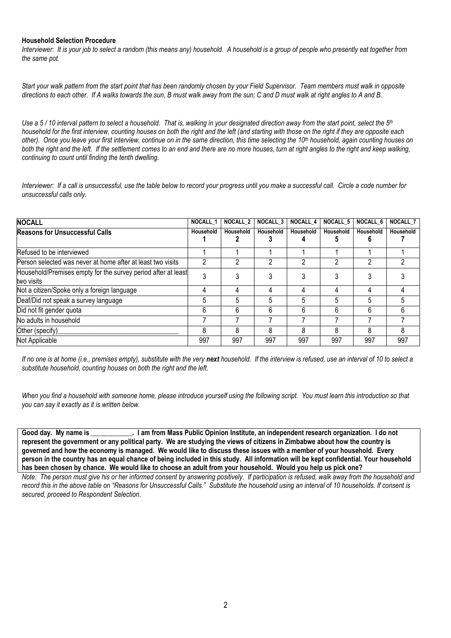#### **Household Selection Procedure**

*Interviewer: It is your job to select a random (this means any) household. A household is a group of people who presently eat together from the same pot.* 

*Start your walk pattern from the start point that has been randomly chosen by your Field Supervisor. Team members must walk in opposite directions to each other. If A walks towards the sun, B must walk away from the sun; C and D must walk at right angles to A and B.* 

*Use a 5 / 10 interval pattern to select a household. That is, walking in your designated direction away from the start point, select the 5th household for the first interview, counting houses on both the right and the left (and starting with those on the right if they are opposite each other). Once you leave your first interview, continue on in the same direction, this time selecting the 10th household, again counting houses on both the right and the left. If the settlement comes to an end and there are no more houses, turn at right angles to the right and keep walking, continuing to count until finding the tenth dwelling.* 

*Interviewer: If a call is unsuccessful, use the table below to record your progress until you make a successful call. Circle a code number for unsuccessful calls only.* 

| <b>NOCALL</b>                                                               | NOCALL 1  | <b>NOCALL 2</b> | <b>NOCALL 3</b> | <b>NOCALL 4</b> | <b>NOCALL 5</b> | <b>NOCALL 6</b> | <b>NOCALL 7</b> |
|-----------------------------------------------------------------------------|-----------|-----------------|-----------------|-----------------|-----------------|-----------------|-----------------|
| <b>Reasons for Unsuccessful Calls</b>                                       | Household | Household       | Household       | Household       | Household       | Household       | Household       |
| Refused to be interviewed                                                   |           |                 |                 |                 |                 |                 |                 |
| Person selected was never at home after at least two visits                 |           |                 |                 |                 |                 |                 |                 |
| Household/Premises empty for the survey period after at least<br>two visits |           |                 |                 |                 |                 |                 |                 |
| Not a citizen/Spoke only a foreign language                                 | 4         |                 |                 |                 |                 | Д               |                 |
| Deaf/Did not speak a survey language                                        | 5         |                 | 5               |                 |                 |                 | 5               |
| Did not fit gender quota                                                    | 6         | 6               | 6               | 6               | 6               | 6               | 6               |
| No adults in household                                                      |           |                 |                 |                 |                 |                 |                 |
| Other (specify)                                                             | 8         | 8               | 8               | 8               | 8               | 8               | 8               |
| Not Applicable                                                              | 997       | 997             | 997             | 997             | 997             | 997             | 997             |

*If no one is at home (i.e., premises empty), substitute with the very next household. If the interview is refused, use an interval of 10 to select a substitute household, counting houses on both the right and the left.* 

*When you find a household with someone home, please introduce yourself using the following script. You must learn this introduction so that you can say it exactly as it is written below.* 

Good day. My name is **come is a construment in the Soute of the So** is an independent research organization. I do not **represent the government or any political party. We are studying the views of citizens in Zimbabwe about how the country is governed and how the economy is managed. We would like to discuss these issues with a member of your household. Every person in the country has an equal chance of being included in this study. All information will be kept confidential. Your household has been chosen by chance. We would like to choose an adult from your household. Would you help us pick one?**

*Note: The person must give his or her informed consent by answering positively. If participation is refused, walk away from the household and record this in the above table on "Reasons for Unsuccessful Calls." Substitute the household using an interval of 10 households. If consent is secured, proceed to Respondent Selection.*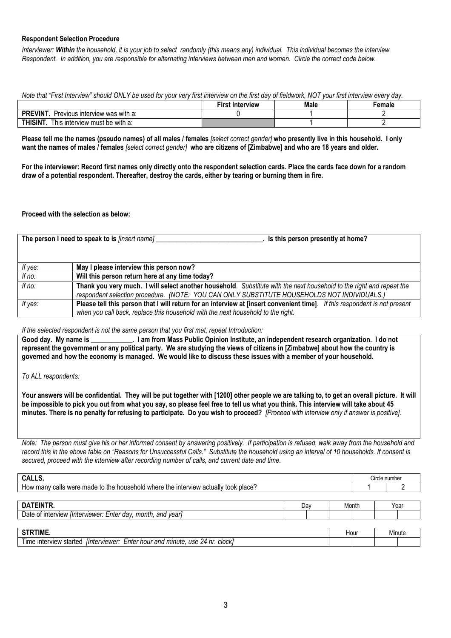# **Respondent Selection Procedure**

*Interviewer: Within the household, it is your job to select randomly (this means any) individual. This individual becomes the interview Respondent. In addition, you are responsible for alternating interviews between men and women. Circle the correct code below.* 

*Note that "First Interview" should ONLY be used for your very first interview on the first day of fieldwork, NOT your first interview every day.*

|                                                               | '−irst<br>. Interview | Male | ∵emale |
|---------------------------------------------------------------|-----------------------|------|--------|
| <b>PREVINT</b><br>Previous interview was with a:              |                       |      |        |
| <b>THISINT</b><br>$\prime$ must be with a:<br>I his interview |                       |      |        |

**Please tell me the names (pseudo names) of all males / females** *[select correct gender]* **who presently live in this household. I only want the names of males / females** *[select correct gender]* **who are citizens of [Zimbabwe] and who are 18 years and older.** 

**For the interviewer: Record first names only directly onto the respondent selection cards. Place the cards face down for a random draw of a potential respondent. Thereafter, destroy the cards, either by tearing or burning them in fire.** 

#### **Proceed with the selection as below:**

|          | The person I need to speak to is <i>[insert name]</i><br>Is this person presently at home?                                                                                                                          |
|----------|---------------------------------------------------------------------------------------------------------------------------------------------------------------------------------------------------------------------|
| If yes:  | May I please interview this person now?                                                                                                                                                                             |
| If no:   | Will this person return here at any time today?                                                                                                                                                                     |
| If $no:$ | Thank you very much. I will select another household. Substitute with the next household to the right and repeat the<br>respondent selection procedure. (NOTE: YOU CAN ONLY SUBSTITUTE HOUSEHOLDS NOT INDIVIDUALS.) |
| If yes:  | Please tell this person that I will return for an interview at [insert convenient time]. If this respondent is not present<br>when you call back, replace this household with the next household to the right.      |

#### *If the selected respondent is not the same person that you first met, repeat Introduction:*

Good day. My name is **inter the I am from Mass Public Opinion Institute**, an independent research organization. I do not **represent the government or any political party. We are studying the views of citizens in [Zimbabwe] about how the country is governed and how the economy is managed. We would like to discuss these issues with a member of your household.** 

*To ALL respondents:* 

**Your answers will be confidential. They will be put together with [1200] other people we are talking to, to get an overall picture. It will be impossible to pick you out from what you say, so please feel free to tell us what you think. This interview will take about 45 minutes. There is no penalty for refusing to participate. Do you wish to proceed?** *[Proceed with interview only if answer is positive].* 

*Note: The person must give his or her informed consent by answering positively. If participation is refused, walk away from the household and record this in the above table on "Reasons for Unsuccessful Calls." Substitute the household using an interval of 10 households. If consent is secured, proceed with the interview after recording number of calls, and current date and time.*

| CALLS.                                                                             |     |       |  | Circle number |  |  |
|------------------------------------------------------------------------------------|-----|-------|--|---------------|--|--|
| How many calls were made to the household where the interview actually took place? |     |       |  |               |  |  |
|                                                                                    |     |       |  |               |  |  |
| DATEINTR.                                                                          | Dav | Month |  | Year          |  |  |
| Date of interview <i>[Interviewer: Enter day, month, and year]</i>                 |     |       |  |               |  |  |
|                                                                                    |     |       |  |               |  |  |
| STRTIME.                                                                           |     | Hour  |  | Minute        |  |  |
| Time interview started [Interviewer: Enter hour and minute, use 24 hr. clock]      |     |       |  |               |  |  |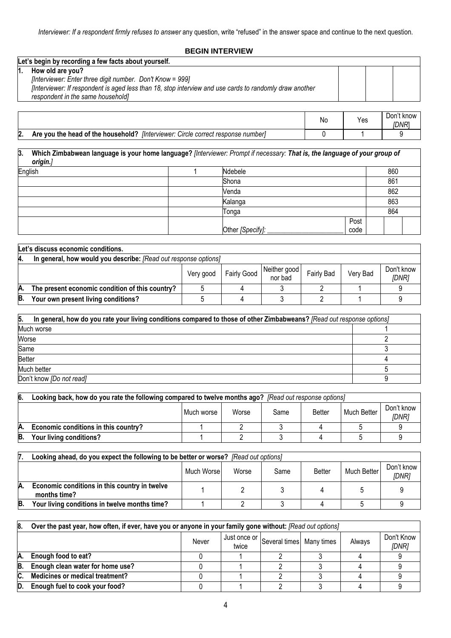# **BEGIN INTERVIEW**

| Let's begin by recording a few facts about yourself.                                                    |  |  |  |  |  |  |
|---------------------------------------------------------------------------------------------------------|--|--|--|--|--|--|
| How old are you?                                                                                        |  |  |  |  |  |  |
| [Interviewer: Enter three digit number. Don't Know = 999]                                               |  |  |  |  |  |  |
| [Interviewer: If respondent is aged less than 18, stop interview and use cards to randomly draw another |  |  |  |  |  |  |
| respondent in the same household]                                                                       |  |  |  |  |  |  |
|                                                                                                         |  |  |  |  |  |  |

|    |                                                                                         | .No | Yes | t know<br>Don<br>idnri |
|----|-----------------------------------------------------------------------------------------|-----|-----|------------------------|
| 2. | Are you the head of the household? [Interviewer: (<br>: Circle correct response number] |     |     |                        |

**3. Which Zimbabwean language is your home language?** *[Interviewer: Prompt if necessary: That is, the language of your group of origin.]*  English | 1 Ndebele | 860 Shona 861 Venda 862 Kalanga 863 Tonga 864 Other *[Specify]:* \_\_\_\_\_\_\_\_\_\_\_\_\_\_\_\_\_\_\_\_\_\_ Post code

|    | Let's discuss economic conditions.                              |           |             |                         |                   |          |                                   |  |  |  |
|----|-----------------------------------------------------------------|-----------|-------------|-------------------------|-------------------|----------|-----------------------------------|--|--|--|
| 4. | In general, how would you describe: [Read out response options] |           |             |                         |                   |          |                                   |  |  |  |
|    |                                                                 | Very good | Fairly Good | Neither good<br>nor bad | <b>Fairly Bad</b> | Very Bad | Don't know<br><i><b>IDNR1</b></i> |  |  |  |
| А. | The present economic condition of this country?                 |           |             |                         |                   |          |                                   |  |  |  |
| B. | Your own present living conditions?                             |           |             |                         |                   |          |                                   |  |  |  |

| 5.<br>In general, how do you rate your living conditions compared to those of other Zimbabweans? [Read out response options] |  |  |  |  |  |
|------------------------------------------------------------------------------------------------------------------------------|--|--|--|--|--|
| Much worse                                                                                                                   |  |  |  |  |  |
| Worse                                                                                                                        |  |  |  |  |  |
| Same                                                                                                                         |  |  |  |  |  |
| <b>Better</b>                                                                                                                |  |  |  |  |  |
| Much better                                                                                                                  |  |  |  |  |  |
| Don't know [Do not read]                                                                                                     |  |  |  |  |  |

| 6.                                           | Looking back, how do you rate the following compared to twelve months ago? [Read out response options] |  |  |  |  |             |                     |
|----------------------------------------------|--------------------------------------------------------------------------------------------------------|--|--|--|--|-------------|---------------------|
| Worse<br><b>Better</b><br>Much worse<br>Same |                                                                                                        |  |  |  |  | Much Better | Don't know<br>IDNRi |
| IA.                                          | Economic conditions in this country?                                                                   |  |  |  |  |             |                     |
| IB.                                          | Your living conditions?                                                                                |  |  |  |  |             |                     |

| 7.  | Looking ahead, do you expect the following to be better or worse? [Read out options] |            |       |      |               |             |                     |
|-----|--------------------------------------------------------------------------------------|------------|-------|------|---------------|-------------|---------------------|
|     |                                                                                      | Much Worse | Worse | Same | <b>Better</b> | Much Better | Don't know<br>[DNR] |
| IA. | Economic conditions in this country in twelve<br>months time?                        |            |       |      |               |             |                     |
| В.  | Your living conditions in twelve months time?                                        |            |       |      |               |             |                     |

| 18. | Over the past year, how often, if ever, have you or anyone in your family gone without: [Read out options] |       |       |                                             |  |        |                     |
|-----|------------------------------------------------------------------------------------------------------------|-------|-------|---------------------------------------------|--|--------|---------------------|
|     |                                                                                                            | Never | twice | 1 Just once or Several times   Many times ' |  | Always | Don't Know<br>[DNR] |
| A.  | Enough food to eat?                                                                                        |       |       |                                             |  |        |                     |
| B.  | Enough clean water for home use?                                                                           |       |       |                                             |  |        |                     |
| IC. | <b>Medicines or medical treatment?</b>                                                                     |       |       |                                             |  |        |                     |
| D.  | Enough fuel to cook your food?                                                                             |       |       |                                             |  |        |                     |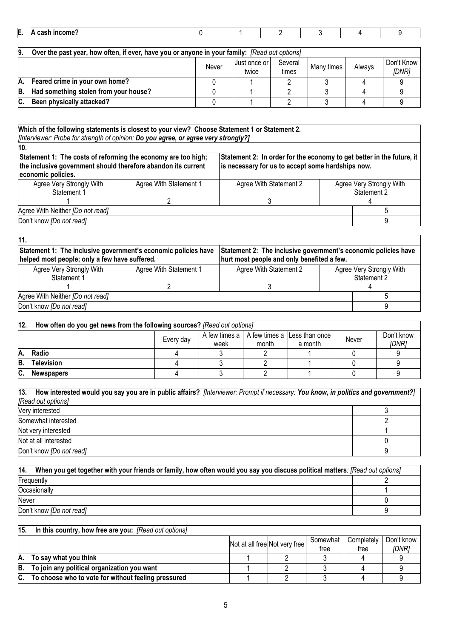| --<br>н. |  |  |  |  |
|----------|--|--|--|--|
|          |  |  |  |  |

| 19. | Over the past year, how often, if ever, have you or anyone in your family: [Read out options] |       |                           |                  |            |        |                     |
|-----|-----------------------------------------------------------------------------------------------|-------|---------------------------|------------------|------------|--------|---------------------|
|     |                                                                                               | Never | I Just once or l<br>twice | Several<br>times | Many times | Always | Don't Know<br>[DNR] |
| Α.  | Feared crime in your own home?                                                                |       |                           |                  |            |        |                     |
| В.  | Had something stolen from your house?                                                         |       |                           |                  |            |        |                     |
| C.  | Been physically attacked?                                                                     |       |                           |                  |            |        |                     |

| 10.                                                                                                                                                  |                                                                                                                            |                        |  |                          |
|------------------------------------------------------------------------------------------------------------------------------------------------------|----------------------------------------------------------------------------------------------------------------------------|------------------------|--|--------------------------|
| Statement 1: The costs of reforming the economy are too high;<br>the inclusive government should therefore abandon its current<br>economic policies. | Statement 2: In order for the economy to get better in the future, it<br>is necessary for us to accept some hardships now. |                        |  |                          |
| Agree Very Strongly With                                                                                                                             | Agree With Statement 1                                                                                                     | Agree With Statement 2 |  | Agree Very Strongly With |
| Statement 1                                                                                                                                          |                                                                                                                            |                        |  | Statement 2              |
|                                                                                                                                                      |                                                                                                                            |                        |  |                          |
| Agree With Neither [Do not read]                                                                                                                     |                                                                                                                            |                        |  |                          |
| Don't know [Do not read]                                                                                                                             |                                                                                                                            |                        |  |                          |

| 11.                                                                                                             |                        |                                                                                                              |                          |             |  |
|-----------------------------------------------------------------------------------------------------------------|------------------------|--------------------------------------------------------------------------------------------------------------|--------------------------|-------------|--|
| Statement 1: The inclusive government's economic policies have<br>helped most people; only a few have suffered. |                        | Statement 2: The inclusive government's economic policies have<br>hurt most people and only benefited a few. |                          |             |  |
|                                                                                                                 |                        |                                                                                                              |                          |             |  |
| Agree Very Strongly With                                                                                        | Agree With Statement 1 | Agree With Statement 2                                                                                       | Agree Very Strongly With |             |  |
| Statement 1                                                                                                     |                        |                                                                                                              |                          | Statement 2 |  |
|                                                                                                                 |                        |                                                                                                              |                          |             |  |
| Agree With Neither [Do not read]                                                                                |                        |                                                                                                              |                          |             |  |
| Don't know [Do not read]                                                                                        |                        |                                                                                                              |                          |             |  |

٦

| 12. | How often do you get news from the following sources? [Read out options] |           |      |       |                                                |       |              |
|-----|--------------------------------------------------------------------------|-----------|------|-------|------------------------------------------------|-------|--------------|
|     |                                                                          | Every day |      |       | A few times a   A few times a   Less than once | Never | Don't know   |
|     |                                                                          |           | week | month | a month                                        |       | <b>IDNR1</b> |
|     | Radio                                                                    |           |      |       |                                                |       |              |
| B.  | Television                                                               |           |      |       |                                                |       |              |
| C.  | <b>Newspapers</b>                                                        |           |      |       |                                                |       |              |

| [13. How interested would you say you are in public affairs? [Interviewer: Prompt if necessary: You know, in politics and government?] |  |
|----------------------------------------------------------------------------------------------------------------------------------------|--|
| [Read out options]                                                                                                                     |  |
| Very interested                                                                                                                        |  |
| Somewhat interested                                                                                                                    |  |
| Not very interested                                                                                                                    |  |
| Not at all interested                                                                                                                  |  |
| Don't know [Do not read]                                                                                                               |  |

| 14.<br>When you get together with your friends or family, how often would you say you discuss political matters: [Read out options] |  |  |  |  |  |
|-------------------------------------------------------------------------------------------------------------------------------------|--|--|--|--|--|
| Frequently                                                                                                                          |  |  |  |  |  |
| Occasionally                                                                                                                        |  |  |  |  |  |
| Never                                                                                                                               |  |  |  |  |  |
| Don't know [Do not read]                                                                                                            |  |  |  |  |  |

#### **15. In this country, how free are you:** *[Read out options]*  Not at all free Not very free Somewhat free **Completely** free Don't know *[DNR]* **A.** To say what you think **1** 2 3 4 9<br>**B.** To join any political organization you want **1** 2 3 4 9 **B. To join any political organization you want** 1 2 3 4 9 To choose who to vote for without feeling pressured **1** 3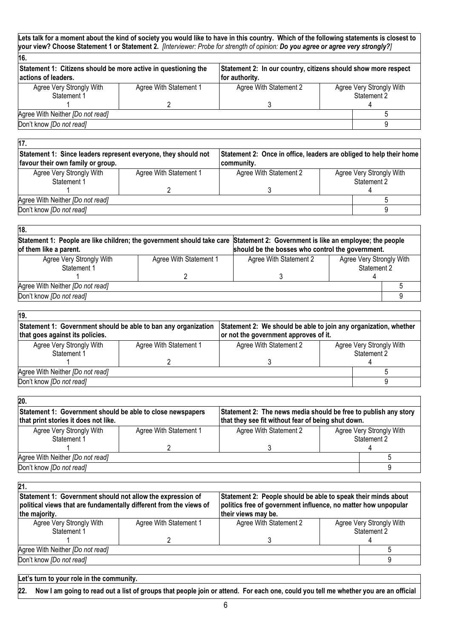| 16.                                                                                   |                        |                                                                                  |                                         |  |  |
|---------------------------------------------------------------------------------------|------------------------|----------------------------------------------------------------------------------|-----------------------------------------|--|--|
| Statement 1: Citizens should be more active in questioning the<br>actions of leaders. |                        | Statement 2: In our country, citizens should show more respect<br>for authority. |                                         |  |  |
| Agree Very Strongly With<br>Statement 1                                               | Agree With Statement 1 | Agree With Statement 2                                                           | Agree Very Strongly With<br>Statement 2 |  |  |
|                                                                                       |                        |                                                                                  |                                         |  |  |
| Agree With Neither [Do not read]                                                      |                        |                                                                                  |                                         |  |  |
| Don't know [Do not read]                                                              |                        |                                                                                  |                                         |  |  |

| 17.                                                                                                 |                        |                                                                                   |                                         |  |
|-----------------------------------------------------------------------------------------------------|------------------------|-----------------------------------------------------------------------------------|-----------------------------------------|--|
| Statement 1: Since leaders represent everyone, they should not<br>favour their own family or group. |                        | Statement 2: Once in office, leaders are obliged to help their home<br>community. |                                         |  |
| Agree Very Strongly With<br>Statement 1                                                             | Agree With Statement 1 | Agree With Statement 2                                                            | Agree Very Strongly With<br>Statement 2 |  |
| Agree With Neither [Do not read]<br>Don't know [Do not read]                                        |                        |                                                                                   |                                         |  |

٦

| 18.                              |                                                  |                                                                                                                                |                          |  |  |
|----------------------------------|--------------------------------------------------|--------------------------------------------------------------------------------------------------------------------------------|--------------------------|--|--|
|                                  |                                                  | Statement 1: People are like children; the government should take care Statement 2: Government is like an employee; the people |                          |  |  |
| of them like a parent.           | should be the bosses who control the government. |                                                                                                                                |                          |  |  |
| Agree Very Strongly With         | Agree With Statement 1                           | Agree With Statement 2                                                                                                         | Agree Very Strongly With |  |  |
| Statement 2<br>Statement 1       |                                                  |                                                                                                                                |                          |  |  |
|                                  |                                                  |                                                                                                                                |                          |  |  |
| Agree With Neither [Do not read] |                                                  |                                                                                                                                |                          |  |  |
| Don't know [Do not read]         |                                                  |                                                                                                                                |                          |  |  |

| Statement 1: Government should be able to ban any organization<br>that goes against its policies. | Statement 2: We should be able to join any organization, whether<br>or not the government approves of it. |                        |             |                          |
|---------------------------------------------------------------------------------------------------|-----------------------------------------------------------------------------------------------------------|------------------------|-------------|--------------------------|
| Agree Very Strongly With                                                                          | Agree With Statement 1                                                                                    | Agree With Statement 2 |             | Agree Very Strongly With |
| Statement 1                                                                                       |                                                                                                           |                        | Statement 2 |                          |
|                                                                                                   |                                                                                                           |                        |             |                          |
| Agree With Neither [Do not read]                                                                  |                                                                                                           |                        |             |                          |
| Don't know [Do not read]                                                                          |                                                                                                           |                        |             |                          |

| 20.                                                                                                |                        |                                                                                                                       |                                         |  |
|----------------------------------------------------------------------------------------------------|------------------------|-----------------------------------------------------------------------------------------------------------------------|-----------------------------------------|--|
| Statement 1: Government should be able to close newspapers<br>that print stories it does not like. |                        | Statement 2: The news media should be free to publish any story<br>that they see fit without fear of being shut down. |                                         |  |
| Agree Very Strongly With<br>Statement 1                                                            | Agree With Statement 1 | Agree With Statement 2                                                                                                | Agree Very Strongly With<br>Statement 2 |  |
|                                                                                                    |                        |                                                                                                                       |                                         |  |
| Agree With Neither [Do not read]                                                                   |                        |                                                                                                                       |                                         |  |
| Don't know [Do not read]                                                                           |                        |                                                                                                                       |                                         |  |

| 21.                                                                                                                              |                        |                                                                                                                                 |             |                          |  |  |
|----------------------------------------------------------------------------------------------------------------------------------|------------------------|---------------------------------------------------------------------------------------------------------------------------------|-------------|--------------------------|--|--|
| Statement 1: Government should not allow the expression of<br>political views that are fundamentally different from the views of |                        | Statement 2: People should be able to speak their minds about<br>politics free of government influence, no matter how unpopular |             |                          |  |  |
| the majority.                                                                                                                    |                        | their views may be.                                                                                                             |             |                          |  |  |
| Agree Very Strongly With                                                                                                         | Agree With Statement 1 | Agree With Statement 2                                                                                                          |             | Agree Very Strongly With |  |  |
| Statement 1                                                                                                                      |                        |                                                                                                                                 | Statement 2 |                          |  |  |
|                                                                                                                                  |                        |                                                                                                                                 |             |                          |  |  |
| Agree With Neither [Do not read]                                                                                                 |                        |                                                                                                                                 |             |                          |  |  |
| Don't know [Do not read]                                                                                                         |                        |                                                                                                                                 |             |                          |  |  |
|                                                                                                                                  |                        |                                                                                                                                 |             |                          |  |  |

| Let's turn to your role in the community.                                                                                               |
|-----------------------------------------------------------------------------------------------------------------------------------------|
| 22. Now I am going to read out a list of groups that people join or attend. For each one, could you tell me whether you are an official |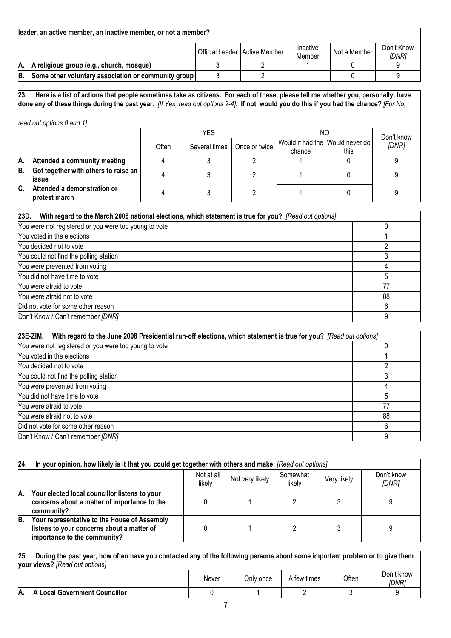|    | leader, an active member, an inactive member, or not a member? |  |                                 |                    |              |                     |  |  |  |
|----|----------------------------------------------------------------|--|---------------------------------|--------------------|--------------|---------------------|--|--|--|
|    |                                                                |  | Official Leader   Active Member | Inactive<br>Member | Not a Member | Don't Know<br>IDNR1 |  |  |  |
| А. | A religious group (e.g., church, mosque)                       |  |                                 |                    |              |                     |  |  |  |
| B. | Some other voluntary association or community group            |  |                                 |                    |              |                     |  |  |  |

**23. Here is a list of actions that people sometimes take as citizens. For each of these, please tell me whether you, personally, have done any of these things during the past year.** *[If Yes, read out options 2-4].* **If not, would you do this if you had the chance?** *[For No,* 

*read out options 0 and 1]* 

|     |                                               |       | YES.          |               | ΝO                                        |      |                     |
|-----|-----------------------------------------------|-------|---------------|---------------|-------------------------------------------|------|---------------------|
|     |                                               | Often | Several times | Once or twice | Would if had the Would never do<br>chance | this | Don't know<br>[DNR] |
| А.  | Attended a community meeting                  |       |               |               |                                           |      |                     |
| B.  | Got together with others to raise an<br>issue |       |               |               |                                           |      |                     |
| IC. | Attended a demonstration or<br>protest march  |       |               |               |                                           |      |                     |

| 23D.<br>With regard to the March 2008 national elections, which statement is true for you? [Read out options] |    |
|---------------------------------------------------------------------------------------------------------------|----|
| You were not registered or you were too young to vote                                                         |    |
| You voted in the elections                                                                                    |    |
| You decided not to vote                                                                                       |    |
| You could not find the polling station                                                                        |    |
| You were prevented from voting                                                                                |    |
| You did not have time to vote                                                                                 |    |
| You were afraid to vote                                                                                       | 77 |
| You were afraid not to vote                                                                                   | 88 |
| Did not vote for some other reason                                                                            |    |
| Don't Know / Can't remember [DNR]                                                                             |    |

| 23E-ZIM.<br>With regard to the June 2008 Presidential run-off elections, which statement is true for you? [Read out options] |    |  |  |  |  |
|------------------------------------------------------------------------------------------------------------------------------|----|--|--|--|--|
| You were not registered or you were too young to vote                                                                        |    |  |  |  |  |
| You voted in the elections                                                                                                   |    |  |  |  |  |
| You decided not to vote<br>ົ                                                                                                 |    |  |  |  |  |
| You could not find the polling station                                                                                       |    |  |  |  |  |
| You were prevented from voting                                                                                               |    |  |  |  |  |
| You did not have time to vote                                                                                                |    |  |  |  |  |
| You were afraid to vote                                                                                                      | 77 |  |  |  |  |
| You were afraid not to vote                                                                                                  | 88 |  |  |  |  |
| Did not vote for some other reason                                                                                           | 6  |  |  |  |  |
| Don't Know / Can't remember [DNR]                                                                                            | 9  |  |  |  |  |

| 24 | In your opinion, how likely is it that you could get together with others and make: [Read out options]                     |                      |                 |                    |             |                     |
|----|----------------------------------------------------------------------------------------------------------------------------|----------------------|-----------------|--------------------|-------------|---------------------|
|    |                                                                                                                            | Not at all<br>likely | Not very likely | Somewhat<br>likely | Very likely | Don't know<br>[DNR] |
| A. | Your elected local councillor listens to your<br>concerns about a matter of importance to the<br>community?                |                      |                 |                    |             |                     |
| B. | Your representative to the House of Assembly<br>listens to your concerns about a matter of<br>importance to the community? |                      |                 |                    |             |                     |

**25. During the past year, how often have you contacted any of the following persons about some important problem or to give them your views?** *[Read out options]*

|    |                                    | Never | Only once | A few times | Often | Don't know<br>[DNR] |
|----|------------------------------------|-------|-----------|-------------|-------|---------------------|
| A. | <b>Local Government Councillor</b> |       |           |             |       |                     |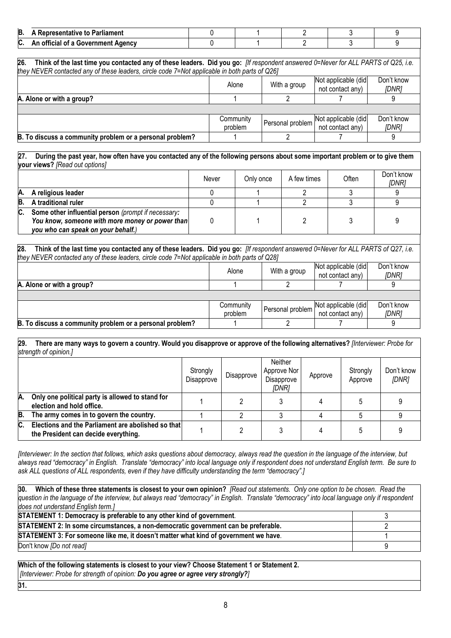| B.            | Parliament<br>sentative "<br>το               |  |  |  |
|---------------|-----------------------------------------------|--|--|--|
| $\sim$<br>IV. | Government<br>. Agencv<br>$\cdots$<br>nt<br>ш |  |  |  |

**26. Think of the last time you contacted any of these leaders. Did you go:** *[If respondent answered 0=Never for ALL PARTS of Q25, i.e. they NEVER contacted any of these leaders, circle code 7=Not applicable in both parts of Q26]* Alone With a group Not applicable (did not contact any) Don't know *[DNR]*  **A. Alone or with a group?** 2 9 **Community** problem Personal problem Not applicable (did not contact any) Don't know *[DNR]*  **B. To discuss a community problem or a personal problem?** 1 2 7 9

#### **27. During the past year, how often have you contacted any of the following persons about some important problem or to give them your views?** *[Read out options]*

|     |                                                                                                                                              | Never | Only once | A few times | Often | Don't know<br>[DNR] |
|-----|----------------------------------------------------------------------------------------------------------------------------------------------|-------|-----------|-------------|-------|---------------------|
| А.  | A religious leader                                                                                                                           |       |           |             |       |                     |
| B.  | A traditional ruler                                                                                                                          |       |           |             |       |                     |
| IC. | Some other influential person (prompt if necessary:<br>You know, someone with more money or power than<br>you who can speak on your behalf.) |       |           |             |       |                     |

### **28. Think of the last time you contacted any of these leaders. Did you go:** *[If respondent answered 0=Never for ALL PARTS of Q27, i.e. they NEVER contacted any of these leaders, circle code 7=Not applicable in both parts of Q28]*

|                                                          | Alone                | With a group | Not applicable (did<br>not contact any)                  | Don't know<br>[DNR]        |
|----------------------------------------------------------|----------------------|--------------|----------------------------------------------------------|----------------------------|
| A. Alone or with a group?                                |                      |              |                                                          |                            |
|                                                          |                      |              |                                                          |                            |
|                                                          | Community<br>problem |              | Personal problem Not applicable (did<br>not contact any) | Don't know<br><i>IDNR1</i> |
| B. To discuss a community problem or a personal problem? |                      |              |                                                          |                            |

#### **29. There are many ways to govern a country. Would you disapprove or approve of the following alternatives?** *[Interviewer: Probe for strength of opinion.]*

|     |                                                                                            | Strongly<br>Disapprove | Disapprove | Neither<br>Approve Nor<br>Disapprove<br>IDNR1 | Approve | Strongly<br>Approve | Don't know<br>[DNR] |
|-----|--------------------------------------------------------------------------------------------|------------------------|------------|-----------------------------------------------|---------|---------------------|---------------------|
| Α.  | Only one political party is allowed to stand for<br>election and hold office.              |                        |            |                                               |         |                     |                     |
| IB. | The army comes in to govern the country.                                                   |                        |            |                                               |         |                     |                     |
| IC. | Elections and the Parliament are abolished so that<br>the President can decide everything. |                        |            |                                               |         |                     |                     |

*[Interviewer: In the section that follows, which asks questions about democracy, always read the question in the language of the interview, but always read "democracy" in English. Translate "democracy" into local language only if respondent does not understand English term. Be sure to*  ask ALL questions of ALL respondents, even if they have difficulty understanding the term "democracy".]

**30. Which of these three statements is closest to your own opinion?** *[Read out statements. Only one option to be chosen. Read the question in the language of the interview, but always read "democracy" in English. Translate "democracy" into local language only if respondent does not understand English term.]* **STATEMENT 1: Democracy is preferable to any other kind of government**. 3 **STATEMENT 2: In some circumstances, a non-democratic government can be preferable.** 2 **STATEMENT 3: For someone like me, it doesn't matter what kind of government we have**. 1 Don't know *[Do not read]* 9

**Which of the following statements is closest to your view? Choose Statement 1 or Statement 2.**  *[Interviewer: Probe for strength of opinion: Do you agree or agree very strongly?]*

**31.**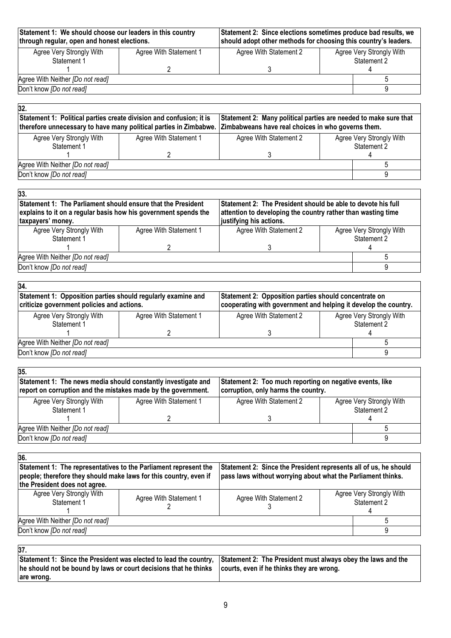| Statement 1: We should choose our leaders in this country<br>through regular, open and honest elections. | Statement 2: Since elections sometimes produce bad results, we<br>should adopt other methods for choosing this country's leaders. |                        |  |                                         |
|----------------------------------------------------------------------------------------------------------|-----------------------------------------------------------------------------------------------------------------------------------|------------------------|--|-----------------------------------------|
| Agree Very Strongly With<br>Statement 1                                                                  | Agree With Statement 1                                                                                                            | Agree With Statement 2 |  | Agree Very Strongly With<br>Statement 2 |
|                                                                                                          |                                                                                                                                   |                        |  |                                         |
| Agree With Neither <i>[Do not read]</i>                                                                  |                                                                                                                                   |                        |  |                                         |
| Don't know [Do not read]                                                                                 |                                                                                                                                   |                        |  |                                         |

# **32.**

| . .<br>Statement 1: Political parties create division and confusion; it is<br>therefore unnecessary to have many political parties in Zimbabwe. Zimbabweans have real choices in who governs them. | Statement 2: Many political parties are needed to make sure that |                        |  |                                         |
|----------------------------------------------------------------------------------------------------------------------------------------------------------------------------------------------------|------------------------------------------------------------------|------------------------|--|-----------------------------------------|
| Agree Very Strongly With<br>Statement 1                                                                                                                                                            | Agree With Statement 1                                           | Agree With Statement 2 |  | Agree Very Strongly With<br>Statement 2 |
| Agree With Neither [Do not read]                                                                                                                                                                   |                                                                  |                        |  |                                         |
| Don't know [Do not read]                                                                                                                                                                           |                                                                  |                        |  |                                         |

| Statement 1: The Parliament should ensure that the President<br>explains to it on a regular basis how his government spends the<br>taxpayers' money. |  | Statement 2: The President should be able to devote his full<br>attention to developing the country rather than wasting time |  |  |
|------------------------------------------------------------------------------------------------------------------------------------------------------|--|------------------------------------------------------------------------------------------------------------------------------|--|--|
| Agree Very Strongly With<br>Agree With Statement 1<br>Statement 1                                                                                    |  | Agree Very Strongly With<br>Statement 2                                                                                      |  |  |
| Agree With Neither [Do not read]<br>Don't know [Do not read]                                                                                         |  |                                                                                                                              |  |  |
|                                                                                                                                                      |  | justifying his actions.<br>Agree With Statement 2                                                                            |  |  |

| Statement 1: Opposition parties should regularly examine and<br>criticize government policies and actions. |                        | Statement 2: Opposition parties should concentrate on<br>cooperating with government and helping it develop the country. |  |                                         |  |
|------------------------------------------------------------------------------------------------------------|------------------------|--------------------------------------------------------------------------------------------------------------------------|--|-----------------------------------------|--|
| Agree Very Strongly With<br>Statement 1                                                                    | Agree With Statement 1 | Agree With Statement 2                                                                                                   |  | Agree Very Strongly With<br>Statement 2 |  |
|                                                                                                            |                        |                                                                                                                          |  |                                         |  |
| Agree With Neither [Do not read]                                                                           |                        |                                                                                                                          |  |                                         |  |
| Don't know [Do not read]                                                                                   |                        |                                                                                                                          |  |                                         |  |

| Statement 1: The news media should constantly investigate and<br>report on corruption and the mistakes made by the government. |                        | Statement 2: Too much reporting on negative events, like<br>corruption, only harms the country. |  |                          |
|--------------------------------------------------------------------------------------------------------------------------------|------------------------|-------------------------------------------------------------------------------------------------|--|--------------------------|
| Agree Very Strongly With                                                                                                       | Agree With Statement 1 | Agree With Statement 2                                                                          |  | Agree Very Strongly With |
| Statement 1                                                                                                                    |                        |                                                                                                 |  | Statement 2              |
|                                                                                                                                |                        |                                                                                                 |  |                          |
| Agree With Neither [Do not read]                                                                                               |                        |                                                                                                 |  |                          |
| Don't know [Do not read]                                                                                                       |                        |                                                                                                 |  |                          |

| 36.                                                                                                                                                                    |                        |                                                                                                                                  |                                         |  |
|------------------------------------------------------------------------------------------------------------------------------------------------------------------------|------------------------|----------------------------------------------------------------------------------------------------------------------------------|-----------------------------------------|--|
| Statement 1: The representatives to the Parliament represent the<br>people; therefore they should make laws for this country, even if<br>the President does not agree. |                        | Statement 2: Since the President represents all of us, he should<br>pass laws without worrying about what the Parliament thinks. |                                         |  |
| Agree Very Strongly With<br>Statement 1                                                                                                                                | Agree With Statement 1 | Agree With Statement 2                                                                                                           | Agree Very Strongly With<br>Statement 2 |  |
| Agree With Neither [Do not read]                                                                                                                                       |                        |                                                                                                                                  |                                         |  |
| Don't know [Do not read]                                                                                                                                               |                        |                                                                                                                                  |                                         |  |
|                                                                                                                                                                        |                        |                                                                                                                                  |                                         |  |

| I<br>×<br>I<br>×<br>۰, |  |  |
|------------------------|--|--|
|                        |  |  |

| .                                                                                                                              |  |
|--------------------------------------------------------------------------------------------------------------------------------|--|
| Statement 1: Since the President was elected to lead the country, Statement 2: The President must always obey the laws and the |  |
| he should not be bound by laws or court decisions that he thinks courts, even if he thinks they are wrong.                     |  |
| are wrong.                                                                                                                     |  |
|                                                                                                                                |  |

٦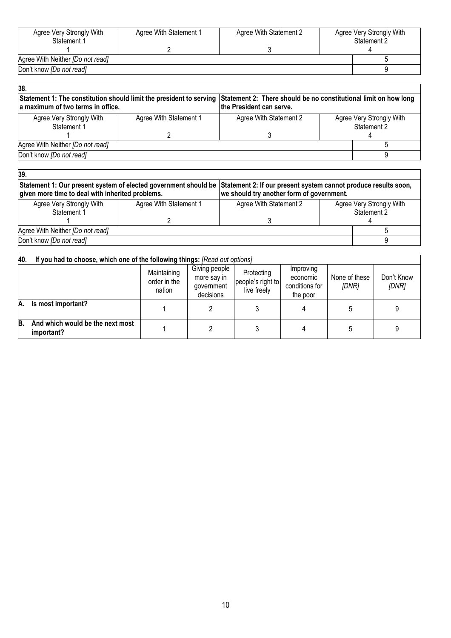| Agree Very Strongly With<br>Statement 1 | Agree With Statement 1 | Agree With Statement 2 | Agree Very Strongly With<br>Statement 2 |
|-----------------------------------------|------------------------|------------------------|-----------------------------------------|
|                                         |                        |                        |                                         |
| Agree With Neither [Do not read]        |                        |                        |                                         |
| Don't know [Do not read]                |                        |                        |                                         |
|                                         |                        |                        |                                         |

| 38.<br>a maximum of two terms in office. | Statement 1: The constitution should limit the president to serving Statement 2: There should be no constitutional limit on how long<br>the President can serve. |                        |  |                                         |
|------------------------------------------|------------------------------------------------------------------------------------------------------------------------------------------------------------------|------------------------|--|-----------------------------------------|
| Agree Very Strongly With<br>Statement 1  | Agree With Statement 1                                                                                                                                           | Agree With Statement 2 |  | Agree Very Strongly With<br>Statement 2 |
|                                          |                                                                                                                                                                  |                        |  |                                         |
| Agree With Neither [Do not read]         |                                                                                                                                                                  |                        |  |                                         |
| Don't know [Do not read]                 |                                                                                                                                                                  |                        |  |                                         |

| 39.                                                                                                                                                                                 |                        |                                           |  |                          |
|-------------------------------------------------------------------------------------------------------------------------------------------------------------------------------------|------------------------|-------------------------------------------|--|--------------------------|
| Statement 1: Our present system of elected government should be Statement 2: If our present system cannot produce results soon,<br>given more time to deal with inherited problems. |                        | we should try another form of government. |  |                          |
| Agree Very Strongly With                                                                                                                                                            | Agree With Statement 1 | Agree With Statement 2                    |  | Agree Very Strongly With |
| Statement 1                                                                                                                                                                         |                        |                                           |  | Statement 2              |
|                                                                                                                                                                                     |                        |                                           |  |                          |
| Agree With Neither [Do not read]                                                                                                                                                    |                        |                                           |  |                          |
| Don't know [Do not read]                                                                                                                                                            |                        |                                           |  |                          |

| 40. | If you had to choose, which one of the following things: [Read out options] |                                       |                                                         |                                                |                                                     |                        |                     |  |  |  |
|-----|-----------------------------------------------------------------------------|---------------------------------------|---------------------------------------------------------|------------------------------------------------|-----------------------------------------------------|------------------------|---------------------|--|--|--|
|     |                                                                             | Maintaining<br>order in the<br>nation | Giving people<br>more say in<br>qovernment<br>decisions | Protecting<br>people's right to<br>live freely | Improving<br>economic<br>conditions for<br>the poor | None of these<br>[DNR] | Don't Know<br>[DNR] |  |  |  |
| А.  | Is most important?                                                          |                                       |                                                         |                                                |                                                     |                        |                     |  |  |  |
| B.  | And which would be the next most<br>important?                              |                                       |                                                         |                                                |                                                     |                        |                     |  |  |  |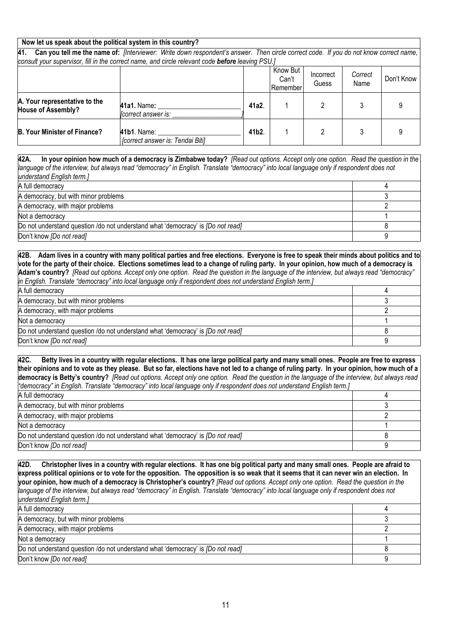# **Now let us speak about the political system in this country?**

**41. Can you tell me the name of:** *[Interviewer: Write down respondent's answer. Then circle correct code. If you do not know correct name, consult your supervisor, fill in the correct name, and circle relevant code before leaving PSU.]*

|                                                            |                                                 |                    | Know But<br>Can't<br><b>Remember</b> | Incorrect<br>Guess | Correct<br>Name | Don't Know |
|------------------------------------------------------------|-------------------------------------------------|--------------------|--------------------------------------|--------------------|-----------------|------------|
| A. Your representative to the<br><b>House of Assembly?</b> | 41a1. Name:<br>[correct answer is:              | 41a2.              |                                      |                    |                 |            |
| <b>B. Your Minister of Finance?</b>                        | 41b1. Name:<br>[correct answer is: Tendai Biti] | 41 <sub>b</sub> 2. |                                      |                    |                 |            |

**42A. In your opinion how much of a democracy is Zimbabwe today?** *[Read out options. Accept only one option. Read the question in the language of the interview, but always read "democracy" in English. Translate "democracy" into local language only if respondent does not understand English term.]*

| A full democracy                                                                       |  |
|----------------------------------------------------------------------------------------|--|
| A democracy, but with minor problems                                                   |  |
| A democracy, with major problems                                                       |  |
| Not a democracy                                                                        |  |
| Do not understand question /do not understand what 'democracy' is <i>[Do not read]</i> |  |
| Don't know [Do not read]                                                               |  |

**42B. Adam lives in a country with many political parties and free elections. Everyone is free to speak their minds about politics and to vote for the party of their choice. Elections sometimes lead to a change of ruling party. In your opinion, how much of a democracy is Adam's country?** *[Read out options. Accept only one option. Read the question in the language of the interview, but always read "democracy" in English. Translate "democracy" into local language only if respondent does not understand English term.]* A full democracy 4

| A democracy, but with minor problems                                                   |  |
|----------------------------------------------------------------------------------------|--|
| A democracy, with major problems                                                       |  |
| Not a democracy                                                                        |  |
| Do not understand question /do not understand what 'democracy' is <i>[Do not read]</i> |  |
| Don't know <i>[Do not read]</i>                                                        |  |

**42C. Betty lives in a country with regular elections. It has one large political party and many small ones. People are free to express their opinions and to vote as they please. But so far, elections have not led to a change of ruling party. In your opinion, how much of a democracy is Betty's country?** *[Read out options. Accept only one option. Read the question in the language of the interview, but always read "democracy" in English. Translate "democracy" into local language only if respondent does not understand English term.]* A full democracy 4

| A democracy, but with minor problems                                                   |  |
|----------------------------------------------------------------------------------------|--|
| A democracy, with major problems                                                       |  |
| Not a democracy                                                                        |  |
| Do not understand question /do not understand what 'democracy' is <i>[Do not read]</i> |  |
| Don't know [Do not read]                                                               |  |

**42D. Christopher lives in a country with regular elections. It has one big political party and many small ones. People are afraid to express political opinions or to vote for the opposition. The opposition is so weak that it seems that it can never win an election. In your opinion, how much of a democracy is Christopher's country?** *[Read out options. Accept only one option. Read the question in the*  language of the interview, but always read "democracy" in English. Translate "democracy" into local language only if respondent does not *understand English term.]*

| A full democracy                                                                       |  |
|----------------------------------------------------------------------------------------|--|
| A democracy, but with minor problems                                                   |  |
| A democracy, with major problems                                                       |  |
| Not a democracy                                                                        |  |
| Do not understand question /do not understand what 'democracy' is <i>[Do not read]</i> |  |
| Don't know [Do not read]                                                               |  |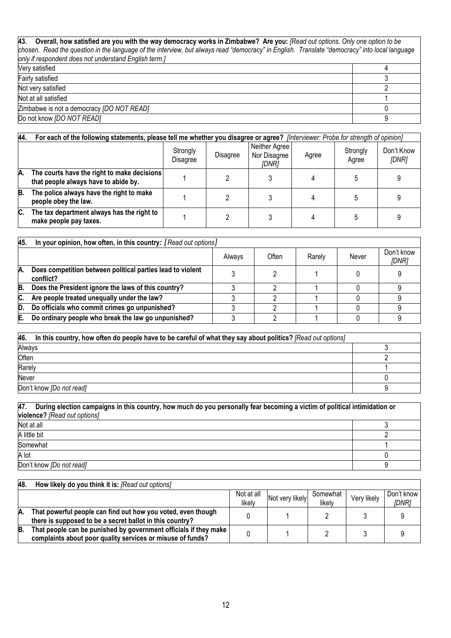# **43. Overall, how satisfied are you with the way democracy works in Zimbabwe? Are you:** *[Read out options. Only one option to be chosen. Read the question in the language of the interview, but always read "democracy" in English. Translate "democracy" into local language only if respondent does not understand English term.]* Very satisfied 4 Fairly satisfied 3 Not very satisfied 2 Not at all satisfied 1 Zimbabwe is not a democracy *[DO NOT READ]* 0 Do not know *[DO NOT READ]* 9

| 44  | For each of the following statements, please tell me whether you disagree or agree? [Interviewer: Probe for strength of opinion] |                      |          |                                        |       |                   |                     |  |  |
|-----|----------------------------------------------------------------------------------------------------------------------------------|----------------------|----------|----------------------------------------|-------|-------------------|---------------------|--|--|
|     |                                                                                                                                  | Strongly<br>Disagree | Disagree | Neither Agree<br>Nor Disagree<br>[DNR] | Agree | Strongly<br>Agree | Don't Know<br>[DNR] |  |  |
| IA. | The courts have the right to make decisions<br>that people always have to abide by.                                              |                      |          |                                        |       |                   |                     |  |  |
| B.  | The police always have the right to make<br>people obey the law.                                                                 |                      |          |                                        |       |                   |                     |  |  |
| C.  | The tax department always has the right to<br>make people pay taxes.                                                             |                      |          |                                        |       |                   |                     |  |  |

| 45. | In your opinion, how often, in this country: [Read out options]         |        |       |        |       |                     |  |
|-----|-------------------------------------------------------------------------|--------|-------|--------|-------|---------------------|--|
|     |                                                                         | Always | Often | Rarely | Never | Don't know<br>[DNR] |  |
| IA. | Does competition between political parties lead to violent<br>conflict? |        |       |        |       |                     |  |
| B.  | Does the President ignore the laws of this country?                     |        |       |        |       |                     |  |
| IC. | Are people treated unequally under the law?                             |        |       |        |       |                     |  |
| ID. | Do officials who commit crimes go unpunished?                           |        |       |        |       |                     |  |
| E.  | Do ordinary people who break the law go unpunished?                     |        |       |        |       |                     |  |

| 46. In this country, how often do people have to be careful of what they say about politics? [Read out options] |  |  |  |  |  |
|-----------------------------------------------------------------------------------------------------------------|--|--|--|--|--|
| Always                                                                                                          |  |  |  |  |  |
| Often                                                                                                           |  |  |  |  |  |
| Rarely                                                                                                          |  |  |  |  |  |
| Never                                                                                                           |  |  |  |  |  |
| Don't know [Do not read]                                                                                        |  |  |  |  |  |

| 47.<br>During election campaigns in this country, how much do you personally fear becoming a victim of political intimidation or<br>violence? [Read out options] |  |  |  |  |  |  |  |
|------------------------------------------------------------------------------------------------------------------------------------------------------------------|--|--|--|--|--|--|--|
| Not at all                                                                                                                                                       |  |  |  |  |  |  |  |
| A little bit                                                                                                                                                     |  |  |  |  |  |  |  |
| Somewhat                                                                                                                                                         |  |  |  |  |  |  |  |
| A lot                                                                                                                                                            |  |  |  |  |  |  |  |
| Don't know [Do not read]                                                                                                                                         |  |  |  |  |  |  |  |

| 48. | How likely do you think it is: [Read out options]                                                                              |                      |                 |                    |             |                     |
|-----|--------------------------------------------------------------------------------------------------------------------------------|----------------------|-----------------|--------------------|-------------|---------------------|
|     |                                                                                                                                | Not at all<br>likely | Not very likely | Somewhat<br>likely | Very likely | Don't know<br>[DNR] |
| А.  | That powerful people can find out how you voted, even though<br>there is supposed to be a secret ballot in this country?       |                      |                 |                    |             |                     |
| B.  | That people can be punished by government officials if they make<br>complaints about poor quality services or misuse of funds? |                      |                 |                    |             |                     |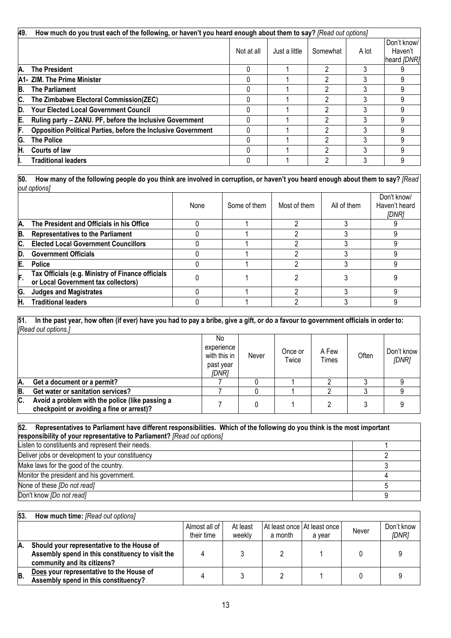| 49. | How much do you trust each of the following, or haven't you heard enough about them to say? [Read out options] |            |               |          |       |                                       |  |  |  |  |
|-----|----------------------------------------------------------------------------------------------------------------|------------|---------------|----------|-------|---------------------------------------|--|--|--|--|
|     |                                                                                                                | Not at all | Just a little | Somewhat | A lot | Don't know/<br>Haven't<br>heard [DNR] |  |  |  |  |
| IA. | <b>The President</b>                                                                                           |            |               |          |       |                                       |  |  |  |  |
|     | A1- ZIM. The Prime Minister                                                                                    |            |               |          |       |                                       |  |  |  |  |
| B.  | <b>The Parliament</b>                                                                                          |            |               |          | 3     |                                       |  |  |  |  |
| C.  | The Zimbabwe Electoral Commission(ZEC)                                                                         |            |               |          |       |                                       |  |  |  |  |
| ID. | <b>Your Elected Local Government Council</b>                                                                   |            |               |          |       |                                       |  |  |  |  |
| E.  | Ruling party - ZANU. PF, before the Inclusive Government                                                       |            |               |          |       |                                       |  |  |  |  |
| F.  | <b>Opposition Political Parties, before the Inclusive Government</b>                                           |            |               |          |       |                                       |  |  |  |  |
| G.  | <b>The Police</b>                                                                                              |            |               |          |       |                                       |  |  |  |  |
| Η.  | <b>Courts of law</b>                                                                                           |            |               |          |       |                                       |  |  |  |  |
|     | <b>Traditional leaders</b>                                                                                     |            |               |          |       |                                       |  |  |  |  |

**50. How many of the following people do you think are involved in corruption, or haven't you heard enough about them to say?** *[Read out options]* 

|     | . <u>.</u>                                                                               |      |              |              |             |                                       |
|-----|------------------------------------------------------------------------------------------|------|--------------|--------------|-------------|---------------------------------------|
|     |                                                                                          | None | Some of them | Most of them | All of them | Don't know/<br>Haven't heard<br>[DNR] |
| А.  | The President and Officials in his Office                                                |      |              |              |             |                                       |
| B.  | <b>Representatives to the Parliament</b>                                                 |      |              |              |             |                                       |
| C.  | <b>Elected Local Government Councillors</b>                                              |      |              |              |             |                                       |
| ID. | <b>Government Officials</b>                                                              |      |              |              |             |                                       |
| E.  | <b>Police</b>                                                                            |      |              |              |             |                                       |
| F.  | Tax Officials (e.g. Ministry of Finance officials<br>or Local Government tax collectors) |      |              |              |             |                                       |
| G.  | <b>Judges and Magistrates</b>                                                            |      |              |              |             |                                       |
| Η.  | <b>Traditional leaders</b>                                                               |      |              |              |             |                                       |

**51. In the past year, how often (if ever) have you had to pay a bribe, give a gift, or do a favour to government officials in order to:** *[Read out options.]*

|    |                                                                                              | No<br>experience<br>with this in<br>past year<br>IDNR1 | Never | Once or<br>Twice | A Few<br><b>Times</b> | Often | Don't know<br>[DNR] |
|----|----------------------------------------------------------------------------------------------|--------------------------------------------------------|-------|------------------|-----------------------|-------|---------------------|
| Α. | Get a document or a permit?                                                                  |                                                        |       |                  |                       |       |                     |
| B. | Get water or sanitation services?                                                            |                                                        |       |                  |                       |       |                     |
| C. | Avoid a problem with the police (like passing a<br>checkpoint or avoiding a fine or arrest)? |                                                        |       |                  |                       |       |                     |

| 52.<br>Representatives to Parliament have different responsibilities. Which of the following do you think is the most important |  |  |  |  |  |  |  |
|---------------------------------------------------------------------------------------------------------------------------------|--|--|--|--|--|--|--|
| responsibility of your representative to Parliament? [Read out options]                                                         |  |  |  |  |  |  |  |
| Listen to constituents and represent their needs.                                                                               |  |  |  |  |  |  |  |
| Deliver jobs or development to your constituency                                                                                |  |  |  |  |  |  |  |
| Make laws for the good of the country.                                                                                          |  |  |  |  |  |  |  |
| Monitor the president and his government.                                                                                       |  |  |  |  |  |  |  |
| None of these [Do not read]                                                                                                     |  |  |  |  |  |  |  |
| Don't know [Do not read]                                                                                                        |  |  |  |  |  |  |  |

| 53. | How much time: [Read out options]                                                                                             |                             |                    |                                        |        |       |                     |
|-----|-------------------------------------------------------------------------------------------------------------------------------|-----------------------------|--------------------|----------------------------------------|--------|-------|---------------------|
|     |                                                                                                                               | Almost all of<br>their time | At least<br>weekly | At least once At least once<br>a month | a year | Never | Don't know<br>[DNR] |
| ΙА. | Should your representative to the House of<br>Assembly spend in this constituency to visit the<br>community and its citizens? |                             |                    |                                        |        |       |                     |
| B.  | Does your representative to the House of<br>Assembly spend in this constituency?                                              |                             |                    |                                        |        |       |                     |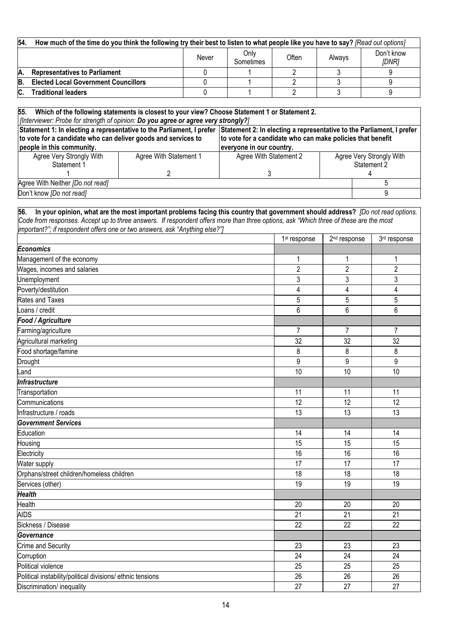| 54.<br>How much of the time do you think the following try their best to listen to what people like you have to say? [Read out options]                                                    |                        |          |                                                            |                          |                          |                  |                     |
|--------------------------------------------------------------------------------------------------------------------------------------------------------------------------------------------|------------------------|----------|------------------------------------------------------------|--------------------------|--------------------------|------------------|---------------------|
|                                                                                                                                                                                            |                        | Never    | Only<br>Sometimes                                          | Often                    | Always                   |                  | Don't know<br>[DNR] |
| <b>Representatives to Parliament</b><br>Α.                                                                                                                                                 |                        | 0        |                                                            | 2                        | 3                        |                  | 9                   |
| <b>Elected Local Government Councillors</b><br>B.                                                                                                                                          |                        | $\Omega$ |                                                            | $\overline{2}$           | 3                        |                  | 9                   |
| <b>Traditional leaders</b><br>C.                                                                                                                                                           |                        | $\Omega$ |                                                            | $\overline{2}$           | 3                        |                  | 9                   |
|                                                                                                                                                                                            |                        |          |                                                            |                          |                          |                  |                     |
| 55.<br>Which of the following statements is closest to your view? Choose Statement 1 or Statement 2.<br>[Interviewer: Probe for strength of opinion: Do you agree or agree very strongly?] |                        |          |                                                            |                          |                          |                  |                     |
| Statement 1: In electing a representative to the Parliament, I prefer Statement 2: In electing a representative to the Parliament, I prefer                                                |                        |          |                                                            |                          |                          |                  |                     |
| to vote for a candidate who can deliver goods and services to                                                                                                                              |                        |          | to vote for a candidate who can make policies that benefit |                          |                          |                  |                     |
| people in this community.                                                                                                                                                                  |                        |          | everyone in our country.                                   |                          |                          |                  |                     |
| Agree Very Strongly With                                                                                                                                                                   | Agree With Statement 1 |          | Agree With Statement 2                                     |                          | Agree Very Strongly With |                  |                     |
| Statement 1                                                                                                                                                                                | 2                      |          | 3                                                          |                          |                          | Statement 2<br>4 |                     |
| Agree With Neither [Do not read]                                                                                                                                                           |                        |          |                                                            |                          |                          |                  | 5                   |
| Don't know [Do not read]                                                                                                                                                                   |                        |          |                                                            |                          |                          |                  | 9                   |
|                                                                                                                                                                                            |                        |          |                                                            |                          |                          |                  |                     |
| In your opinion, what are the most important problems facing this country that government should address? [Do not read options.<br>56.                                                     |                        |          |                                                            |                          |                          |                  |                     |
| Code from responses. Accept up to three answers. If respondent offers more than three options, ask "Which three of these are the most                                                      |                        |          |                                                            |                          |                          |                  |                     |
| important?"; if respondent offers one or two answers, ask "Anything else?"]                                                                                                                |                        |          |                                                            |                          |                          |                  |                     |
|                                                                                                                                                                                            |                        |          |                                                            | 1 <sup>st</sup> response | 2 <sup>nd</sup> response |                  | 3rd response        |
| <b>Economics</b>                                                                                                                                                                           |                        |          |                                                            |                          |                          |                  |                     |
| Management of the economy                                                                                                                                                                  |                        |          |                                                            | 1                        | 1                        |                  | 1                   |
| Wages, incomes and salaries                                                                                                                                                                |                        |          |                                                            | 2                        | 2                        |                  | $\overline{2}$      |
| Unemployment                                                                                                                                                                               |                        |          | 3                                                          | 3                        |                          | 3                |                     |
| Poverty/destitution                                                                                                                                                                        |                        |          | 4                                                          | 4                        |                          | 4                |                     |
| Rates and Taxes                                                                                                                                                                            |                        |          |                                                            | 5                        | 5                        |                  | 5                   |
| oans / credit                                                                                                                                                                              |                        |          |                                                            | 6                        | 6                        |                  | 6                   |
| Food / Agriculture                                                                                                                                                                         |                        |          |                                                            |                          |                          |                  |                     |

| Food / Agriculture                                         |                |                |                |
|------------------------------------------------------------|----------------|----------------|----------------|
| Farming/agriculture                                        | $\overline{7}$ | $\overline{7}$ | $\overline{7}$ |
| Agricultural marketing                                     | 32             | 32             | 32             |
| Food shortage/famine                                       | 8              | 8              | 8              |
| Drought                                                    | 9              | 9              | 9              |
| Land                                                       | 10             | 10             | 10             |
| Infrastructure                                             |                |                |                |
| Transportation                                             | 11             | 11             | 11             |
| Communications                                             | 12             | 12             | 12             |
| Infrastructure / roads                                     | 13             | 13             | 13             |
| <b>Government Services</b>                                 |                |                |                |
| Education                                                  | 14             | 14             | 14             |
| Housing                                                    | 15             | 15             | 15             |
| Electricity                                                | 16             | 16             | 16             |
| Water supply                                               | 17             | 17             | 17             |
| Orphans/street children/homeless children                  | 18             | 18             | 18             |
| Services (other)                                           | 19             | 19             | 19             |
| <b>Health</b>                                              |                |                |                |
| Health                                                     | 20             | 20             | 20             |
| <b>AIDS</b>                                                | 21             | 21             | 21             |
| Sickness / Disease                                         | 22             | 22             | 22             |
| Governance                                                 |                |                |                |
| Crime and Security                                         | 23             | 23             | 23             |
| Corruption                                                 | 24             | 24             | 24             |
| Political violence                                         | 25             | 25             | 25             |
| Political instability/political divisions/ ethnic tensions | 26             | 26             | 26             |
| Discrimination/ inequality                                 | 27             | 27             | 27             |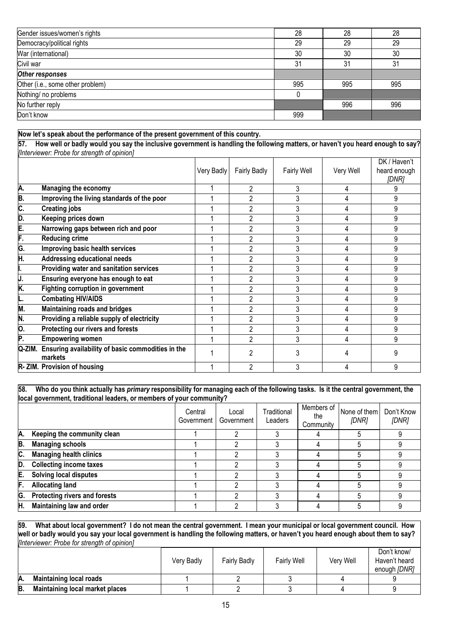| Gender issues/women's rights     | 28  | 28  | 28  |
|----------------------------------|-----|-----|-----|
| Democracy/political rights       | 29  | 29  | 29  |
| War (international)              | 30  | 30  | 30  |
| Civil war                        | 31  | 31  | 31  |
| Other responses                  |     |     |     |
| Other (i.e., some other problem) | 995 | 995 | 995 |
| Nothing/ no problems             |     |     |     |
| No further reply                 |     | 996 | 996 |
| Don't know                       | 999 |     |     |

#### **Now let's speak about the performance of the present government of this country.**

**57. How well or badly would you say the inclusive government is handling the following matters, or haven't you heard enough to say?**  *[Interviewer: Probe for strength of opinion]*

|         |                                                              |            |                     |                    |           | DK / Haven't          |
|---------|--------------------------------------------------------------|------------|---------------------|--------------------|-----------|-----------------------|
|         |                                                              | Very Badly | <b>Fairly Badly</b> | <b>Fairly Well</b> | Very Well | heard enough<br>[DNR] |
| A.      | <b>Managing the economy</b>                                  |            |                     | 3                  |           |                       |
| B.      | Improving the living standards of the poor                   |            | 2                   | 3                  |           | 9                     |
| C.      | <b>Creating jobs</b>                                         |            |                     | 3                  |           | 9                     |
| D.      | Keeping prices down                                          |            |                     | 3                  |           | 9                     |
| E.      | Narrowing gaps between rich and poor                         |            |                     | 3                  |           | 9                     |
| F.      | <b>Reducing crime</b>                                        |            |                     | 3                  |           | 9                     |
| G.      | Improving basic health services                              |            |                     | 3                  |           | 9                     |
| H.      | <b>Addressing educational needs</b>                          |            |                     | 3                  |           | 9                     |
|         | Providing water and sanitation services                      |            | 2                   | 3                  |           | 9                     |
| IJ.     | Ensuring everyone has enough to eat                          |            |                     | 3                  |           | 9                     |
| K.      | <b>Fighting corruption in government</b>                     |            |                     | 3                  |           | 9                     |
|         | <b>Combating HIV/AIDS</b>                                    |            | 2                   | 3                  |           | 9                     |
| M.      | Maintaining roads and bridges                                |            | ŋ                   | 3                  |           | 9                     |
| N.      | Providing a reliable supply of electricity                   |            | 2                   | 3                  |           | 9                     |
| Ю.      | Protecting our rivers and forests                            |            | 2                   | 3                  |           | 9                     |
| P.      | <b>Empowering women</b>                                      |            | 2                   | 3                  |           | 9                     |
| IQ-ZIM. | Ensuring availability of basic commodities in the<br>markets |            |                     | 3                  |           |                       |
|         | R-ZIM. Provision of housing                                  |            |                     |                    |           | 9                     |

#### **58. Who do you think actually has** *primary* **responsibility for managing each of the following tasks. Is it the central government, the local government, traditional leaders, or members of your community?**

|    |                                | Central<br>Government | Local<br>Government | Traditional<br>Leaders | Members of<br>the<br>Community | None of them<br>[DNR] | Don't Know<br>[DNR] |
|----|--------------------------------|-----------------------|---------------------|------------------------|--------------------------------|-----------------------|---------------------|
| Α. | Keeping the community clean    |                       |                     |                        |                                |                       |                     |
| B. | <b>Managing schools</b>        |                       |                     |                        |                                |                       |                     |
| C. | <b>Managing health clinics</b> |                       |                     |                        |                                |                       |                     |
| D. | <b>Collecting income taxes</b> |                       |                     |                        |                                |                       |                     |
| E. | <b>Solving local disputes</b>  |                       |                     |                        |                                |                       |                     |
| F. | <b>Allocating land</b>         |                       |                     |                        |                                |                       |                     |
| G. | Protecting rivers and forests  |                       | C                   |                        |                                |                       |                     |
| H. | Maintaining law and order      |                       |                     |                        |                                |                       |                     |

**59. What about local government? I do not mean the central government. I mean your municipal or local government council. How well or badly would you say your local government is handling the following matters, or haven't you heard enough about them to say?**  *[Interviewer: Probe for strength of opinion]*

|    |                                        | Verv Badly | Fairly Badly | <b>Fairly Well</b> | Very Well | Don't know/<br>Haven't heard<br>enough [DNR] |
|----|----------------------------------------|------------|--------------|--------------------|-----------|----------------------------------------------|
| А. | <b>Maintaining local roads</b>         |            |              |                    |           |                                              |
| B. | <b>Maintaining local market places</b> |            |              |                    |           |                                              |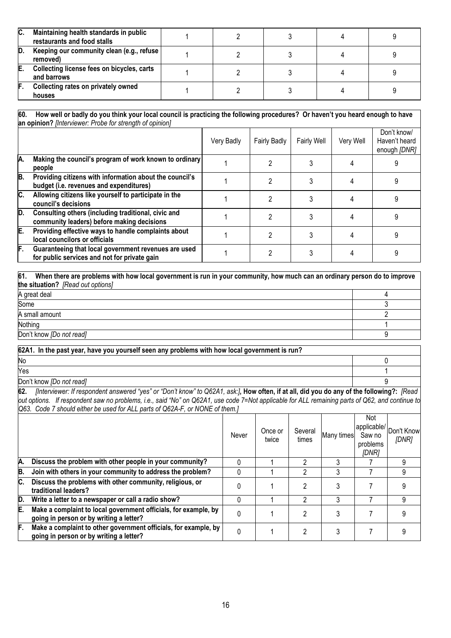| IC. | Maintaining health standards in public<br>restaurants and food stalls |  |  |  |
|-----|-----------------------------------------------------------------------|--|--|--|
| ID. | Keeping our community clean (e.g., refuse)<br>removed)                |  |  |  |
| IE. | Collecting license fees on bicycles, carts<br>and barrows             |  |  |  |
| IF. | Collecting rates on privately owned<br>houses                         |  |  |  |

# **60. How well or badly do you think your local council is practicing the following procedures? Or haven't you heard enough to have an opinion?** *[Interviewer: Probe for strength of opinion]*

| <b>MIT OPHINGH</b> , <i>HIROLYTOWOL, I TODO TOLOGIQUE OF OPHINOTI</i> |                                                                                                      |            |                     |                    |           |                                              |  |
|-----------------------------------------------------------------------|------------------------------------------------------------------------------------------------------|------------|---------------------|--------------------|-----------|----------------------------------------------|--|
|                                                                       |                                                                                                      | Very Badly | <b>Fairly Badly</b> | <b>Fairly Well</b> | Very Well | Don't know/<br>Haven't heard<br>enough [DNR] |  |
| A.                                                                    | Making the council's program of work known to ordinary<br>people                                     |            |                     |                    |           |                                              |  |
| B.                                                                    | Providing citizens with information about the council's<br>budget (i.e. revenues and expenditures)   |            |                     |                    |           |                                              |  |
| $\overline{\mathsf{c}}$ .                                             | Allowing citizens like yourself to participate in the<br>council's decisions                         |            |                     |                    |           |                                              |  |
| D.                                                                    | Consulting others (including traditional, civic and<br>community leaders) before making decisions    |            |                     |                    |           |                                              |  |
| E.                                                                    | Providing effective ways to handle complaints about<br>local councilors or officials                 |            |                     |                    |           |                                              |  |
| F.                                                                    | Guaranteeing that local government revenues are used<br>for public services and not for private gain |            |                     |                    |           |                                              |  |

# **61. When there are problems with how local government is run in your community, how much can an ordinary person do to improve the situation?** *[Read out options]*  A great deal and the set of the set of the set of the set of the set of the set of the set of the set of the set of the set of the set of the set of the set of the set of the set of the set of the set of the set of the set Some 3 A small amount 2

Nothing the contract of the contract of the contract of the contract of the contract of the contract of the contract of the contract of the contract of the contract of the contract of the contract of the contract of the co

Don't know *[Do not read]* 9

| 62A1. In the past year, have you yourself seen any problems with how local government is run?                                              |  |  |  |  |  |
|--------------------------------------------------------------------------------------------------------------------------------------------|--|--|--|--|--|
| <b>No</b>                                                                                                                                  |  |  |  |  |  |
| Yes                                                                                                                                        |  |  |  |  |  |
| Don't know <i>[Do not read]</i>                                                                                                            |  |  |  |  |  |
| 62<br>llnterviewer: If respondent answered "ves" or "Don't know" to O62A1 ask: How often if at all did you do any of the following? [Read] |  |  |  |  |  |

**62.** *[Interviewer: If respondent answered "yes" or "Don't know" to Q62A1, ask:]***, How often, if at all, did you do any of the following?:** *[Read out options. If respondent saw no problems, i.e., said "No" on Q62A1, use code 7=Not applicable for ALL remaining parts of Q62, and continue to Q63. Code 7 should either be used for ALL parts of Q62A-F, or NONE of them.]*

|     |                                                                                                            | Never | Once or<br>twice | Several<br>times | Many times | Not<br>Saw no<br>problems<br>[DNR] | (applicable/ Don't Know<br>[DNR] |
|-----|------------------------------------------------------------------------------------------------------------|-------|------------------|------------------|------------|------------------------------------|----------------------------------|
| IA. | Discuss the problem with other people in your community?                                                   |       |                  |                  |            |                                    | 9                                |
| B.  | Join with others in your community to address the problem?                                                 |       |                  |                  |            |                                    | 9                                |
| IC. | Discuss the problems with other community, religious, or<br>traditional leaders?                           |       |                  |                  |            |                                    | 9                                |
| D.  | Write a letter to a newspaper or call a radio show?                                                        |       |                  |                  |            |                                    | 9                                |
| E.  | Make a complaint to local government officials, for example, by<br>going in person or by writing a letter? |       |                  |                  |            |                                    | 9                                |
| F.  | Make a complaint to other government officials, for example, by<br>going in person or by writing a letter? | 0     |                  | 2                |            |                                    | q                                |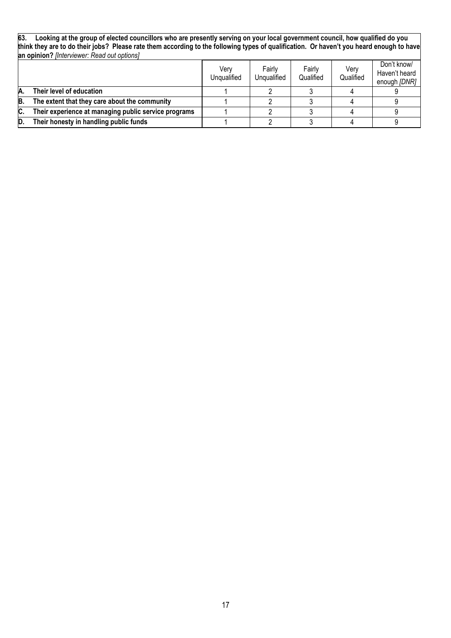**63. Looking at the group of elected councillors who are presently serving on your local government council, how qualified do you think they are to do their jobs? Please rate them according to the following types of qualification. Or haven't you heard enough to have an opinion?** *[Interviewer: Read out options]*

|     |                                                      | Verv<br>Unqualified | Fairly<br>Ungualified | Fairly<br>Qualified | Verv<br>Qualified | Don't know/<br>Haven't heard<br>enough [DNR] |
|-----|------------------------------------------------------|---------------------|-----------------------|---------------------|-------------------|----------------------------------------------|
|     | Their level of education                             |                     |                       |                     |                   |                                              |
| B.  | The extent that they care about the community        |                     |                       |                     |                   |                                              |
| IC. | Their experience at managing public service programs |                     |                       |                     |                   |                                              |
| ID. | Their honesty in handling public funds               |                     |                       |                     |                   |                                              |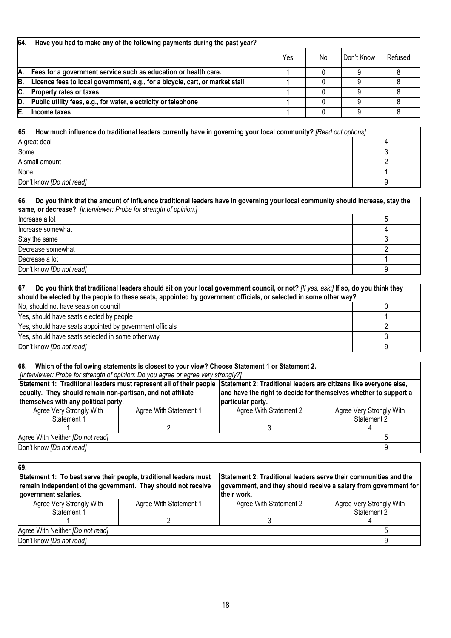| 64. | Have you had to make any of the following payments during the past year?     |     |    |            |         |
|-----|------------------------------------------------------------------------------|-----|----|------------|---------|
|     |                                                                              | Yes | No | Don't Know | Refused |
| Α.  | Fees for a government service such as education or health care.              |     |    |            |         |
| B.  | Licence fees to local government, e.g., for a bicycle, cart, or market stall |     |    |            |         |
| С.  | Property rates or taxes                                                      |     |    |            |         |
| D.  | Public utility fees, e.g., for water, electricity or telephone               |     |    |            |         |
| E.  | Income taxes                                                                 |     |    |            |         |

| 65.<br>How much influence do traditional leaders currently have in governing your local community? [Read out options] |  |  |  |  |
|-----------------------------------------------------------------------------------------------------------------------|--|--|--|--|
| A great deal                                                                                                          |  |  |  |  |
| Some                                                                                                                  |  |  |  |  |
| A small amount                                                                                                        |  |  |  |  |
| None                                                                                                                  |  |  |  |  |
| Don't know [Do not read]                                                                                              |  |  |  |  |

| 66.<br>Do you think that the amount of influence traditional leaders have in governing your local community should increase, stay the<br>same, or decrease? [Interviewer: Probe for strength of opinion.] |  |  |  |  |
|-----------------------------------------------------------------------------------------------------------------------------------------------------------------------------------------------------------|--|--|--|--|
| Increase a lot                                                                                                                                                                                            |  |  |  |  |
| Increase somewhat                                                                                                                                                                                         |  |  |  |  |
| Stay the same                                                                                                                                                                                             |  |  |  |  |
| Decrease somewhat                                                                                                                                                                                         |  |  |  |  |
| Decrease a lot                                                                                                                                                                                            |  |  |  |  |
| Don't know [Do not read]                                                                                                                                                                                  |  |  |  |  |

| $ 67.$ Do you think that traditional leaders should sit on your local government council, or not? [If yes, ask:] If so, do you think they<br>should be elected by the people to these seats, appointed by government officials, or selected in some other way? |  |  |  |  |
|----------------------------------------------------------------------------------------------------------------------------------------------------------------------------------------------------------------------------------------------------------------|--|--|--|--|
| No, should not have seats on council                                                                                                                                                                                                                           |  |  |  |  |
| Yes, should have seats elected by people                                                                                                                                                                                                                       |  |  |  |  |
| Yes, should have seats appointed by government officials                                                                                                                                                                                                       |  |  |  |  |
| Yes, should have seats selected in some other way                                                                                                                                                                                                              |  |  |  |  |
| Don't know [Do not read]                                                                                                                                                                                                                                       |  |  |  |  |

| 68. Which of the following statements is closest to your view? Choose Statement 1 or Statement 2.                                     |                        |                                                                  |             |                          |  |  |
|---------------------------------------------------------------------------------------------------------------------------------------|------------------------|------------------------------------------------------------------|-------------|--------------------------|--|--|
| [/Interviewer: Probe for strength of opinion: Do you agree or agree very strongly?]                                                   |                        |                                                                  |             |                          |  |  |
| Statement 1: Traditional leaders must represent all of their people Statement 2: Traditional leaders are citizens like everyone else, |                        |                                                                  |             |                          |  |  |
| equally. They should remain non-partisan, and not affiliate                                                                           |                        | and have the right to decide for themselves whether to support a |             |                          |  |  |
| themselves with any political party.                                                                                                  | particular party.      |                                                                  |             |                          |  |  |
| Agree Very Strongly With                                                                                                              | Agree With Statement 1 | Agree With Statement 2                                           |             | Agree Very Strongly With |  |  |
| Statement 1                                                                                                                           |                        |                                                                  | Statement 2 |                          |  |  |
|                                                                                                                                       |                        |                                                                  |             |                          |  |  |
| Agree With Neither [Do not read]                                                                                                      |                        |                                                                  |             |                          |  |  |
| Don't know [Do not read]                                                                                                              |                        |                                                                  |             |                          |  |  |

| 69.                                                                                                                                                        |                                                                                                                                                     |                        |  |                                         |
|------------------------------------------------------------------------------------------------------------------------------------------------------------|-----------------------------------------------------------------------------------------------------------------------------------------------------|------------------------|--|-----------------------------------------|
| Statement 1: To best serve their people, traditional leaders must<br>remain independent of the government. They should not receive<br>government salaries. | Statement 2: Traditional leaders serve their communities and the<br>government, and they should receive a salary from government for<br>their work. |                        |  |                                         |
| Agree Very Strongly With<br>Statement 1                                                                                                                    | Agree With Statement 1                                                                                                                              | Agree With Statement 2 |  | Agree Very Strongly With<br>Statement 2 |
| Agree With Neither [Do not read]<br>Don't know [Do not read]                                                                                               |                                                                                                                                                     |                        |  |                                         |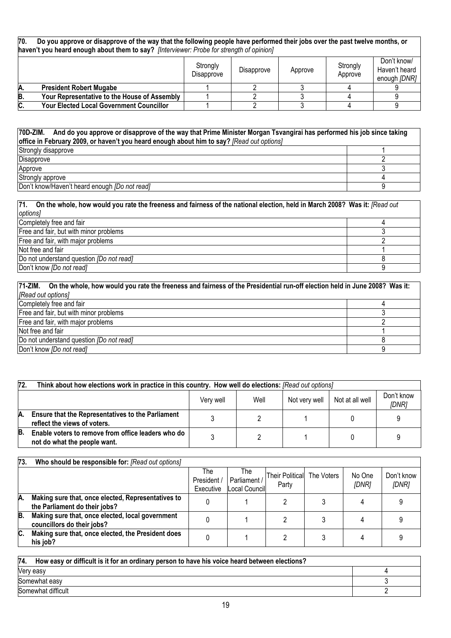| 70. | Do you approve or disapprove of the way that the following people have performed their jobs over the past twelve months, or |
|-----|-----------------------------------------------------------------------------------------------------------------------------|
|     | haven't you heard enough about them to say? [Interviewer: Probe for strength of opinion]                                    |

|    |                                                 | Strongly<br>Disapprove | Disapprove | Approve | Strongly<br>Approve | Don't know/<br>Haven't heard<br>enough [DNR] |
|----|-------------------------------------------------|------------------------|------------|---------|---------------------|----------------------------------------------|
| Α. | <b>President Robert Mugabe</b>                  |                        |            |         |                     |                                              |
| B. | Your Representative to the House of Assembly    |                        |            |         |                     |                                              |
| C. | <b>Your Elected Local Government Councillor</b> |                        |            |         |                     |                                              |

| 70D-ZIM. And do you approve or disapprove of the way that Prime Minister Morgan Tsvangirai has performed his job since taking<br>office in February 2009, or haven't you heard enough about him to say? [Read out options] |  |  |  |  |
|----------------------------------------------------------------------------------------------------------------------------------------------------------------------------------------------------------------------------|--|--|--|--|
| Strongly disapprove                                                                                                                                                                                                        |  |  |  |  |
| Disapprove                                                                                                                                                                                                                 |  |  |  |  |
| Approve                                                                                                                                                                                                                    |  |  |  |  |
| Strongly approve                                                                                                                                                                                                           |  |  |  |  |
| Don't know/Haven't heard enough <i>[Do not read]</i>                                                                                                                                                                       |  |  |  |  |

| 71. On the whole, how would you rate the freeness and fairness of the national election, held in March 2008? Was it: [Read out |  |  |  |  |
|--------------------------------------------------------------------------------------------------------------------------------|--|--|--|--|
| options]                                                                                                                       |  |  |  |  |
| Completely free and fair                                                                                                       |  |  |  |  |
| Free and fair, but with minor problems                                                                                         |  |  |  |  |
| Free and fair, with major problems                                                                                             |  |  |  |  |
| Not free and fair                                                                                                              |  |  |  |  |
| Do not understand question <i>[Do not read]</i>                                                                                |  |  |  |  |
| Don't know <i>[Do not read]</i>                                                                                                |  |  |  |  |

| 71-ZIM. On the whole, how would you rate the freeness and fairness of the Presidential run-off election held in June 2008? Was it: |  |  |  |  |  |
|------------------------------------------------------------------------------------------------------------------------------------|--|--|--|--|--|
| [Read out options]                                                                                                                 |  |  |  |  |  |
| Completely free and fair                                                                                                           |  |  |  |  |  |
| Free and fair, but with minor problems                                                                                             |  |  |  |  |  |
| Free and fair, with major problems                                                                                                 |  |  |  |  |  |
| Not free and fair                                                                                                                  |  |  |  |  |  |
| Do not understand question [Do not read]                                                                                           |  |  |  |  |  |
| Don't know [Do not read]                                                                                                           |  |  |  |  |  |

| 72. | Think about how elections work in practice in this country. How well do elections: [Read out options] |  |  |  |  |  |  |  |  |
|-----|-------------------------------------------------------------------------------------------------------|--|--|--|--|--|--|--|--|
|     | Don't know<br>Well<br>Not very well<br>Not at all well<br>Verv well<br>[DNR]                          |  |  |  |  |  |  |  |  |
| А.  | <b>Ensure that the Representatives to the Parliament</b><br>reflect the views of voters.              |  |  |  |  |  |  |  |  |
| B.  | Enable voters to remove from office leaders who do<br>not do what the people want.                    |  |  |  |  |  |  |  |  |

| 73. | Who should be responsible for: [Read out options]                                   |                                 |                                      |                                     |                 |                     |
|-----|-------------------------------------------------------------------------------------|---------------------------------|--------------------------------------|-------------------------------------|-----------------|---------------------|
|     |                                                                                     | The<br>President /<br>Executive | The<br>Parliament /<br>Local Council | Their Political The Voters<br>Party | No One<br>[DNR] | Don't know<br>[DNR] |
| Α.  | Making sure that, once elected, Representatives to<br>the Parliament do their jobs? |                                 |                                      |                                     |                 |                     |
| B.  | Making sure that, once elected, local government<br>councillors do their jobs?      |                                 |                                      |                                     |                 |                     |
| C.  | Making sure that, once elected, the President does<br>his job?                      |                                 |                                      |                                     |                 |                     |

| 74.<br>How easy or difficult is it for an ordinary person to have his voice heard between elections? |  |  |  |  |
|------------------------------------------------------------------------------------------------------|--|--|--|--|
| Very easy                                                                                            |  |  |  |  |
| Somewhat easy                                                                                        |  |  |  |  |
| Somewhat difficult                                                                                   |  |  |  |  |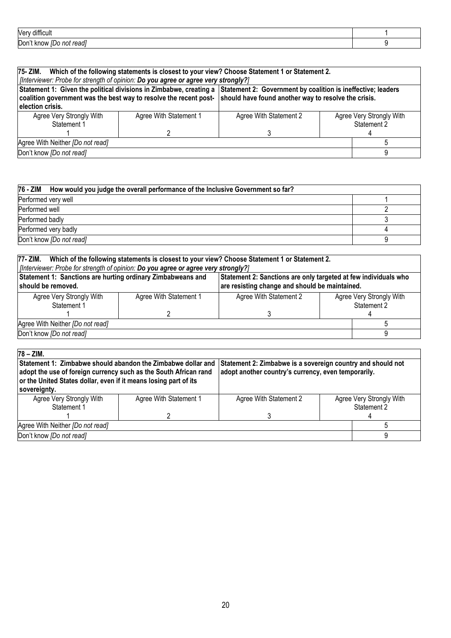| <br>Ver<br>Jifficul                   |  |
|---------------------------------------|--|
| Dor<br>ייטריה.<br>ηOι<br>know<br>'GdU |  |

| 75- ZIM.                                                                                                                                                                                                                                                                                                                                                                  |                        | Which of the following statements is closest to your view? Choose Statement 1 or Statement 2. |                                         |  |  |
|---------------------------------------------------------------------------------------------------------------------------------------------------------------------------------------------------------------------------------------------------------------------------------------------------------------------------------------------------------------------------|------------------------|-----------------------------------------------------------------------------------------------|-----------------------------------------|--|--|
| [Interviewer: Probe for strength of opinion: Do you agree or agree very strongly?]<br>Statement 1: Given the political divisions in Zimbabwe, creating a<br>Statement 2: Government by coalition is ineffective; leaders<br>should have found another way to resolve the crisis.<br>coalition government was the best way to resolve the recent post-<br>election crisis. |                        |                                                                                               |                                         |  |  |
| Agree Very Strongly With<br>Statement 1                                                                                                                                                                                                                                                                                                                                   | Agree With Statement 1 | Agree With Statement 2                                                                        | Agree Very Strongly With<br>Statement 2 |  |  |
| Agree With Neither [Do not read]                                                                                                                                                                                                                                                                                                                                          |                        |                                                                                               |                                         |  |  |
| Don't know [Do not read]                                                                                                                                                                                                                                                                                                                                                  |                        |                                                                                               |                                         |  |  |

| 76 - ZIM How would you judge the overall performance of the Inclusive Government so far? |  |  |  |  |
|------------------------------------------------------------------------------------------|--|--|--|--|
| Performed very well                                                                      |  |  |  |  |
| Performed well                                                                           |  |  |  |  |
| Performed badly                                                                          |  |  |  |  |
| Performed very badly                                                                     |  |  |  |  |
| Don't know [Do not read]                                                                 |  |  |  |  |

| Which of the following statements is closest to your view? Choose Statement 1 or Statement 2.<br>77- ZIM.                                                                                              |  |  |  |  |  |  |
|--------------------------------------------------------------------------------------------------------------------------------------------------------------------------------------------------------|--|--|--|--|--|--|
| [Interviewer: Probe for strength of opinion: Do you agree or agree very strongly?]                                                                                                                     |  |  |  |  |  |  |
| Statement 1: Sanctions are hurting ordinary Zimbabweans and<br>Statement 2: Sanctions are only targeted at few individuals who<br>are resisting change and should be maintained.<br>should be removed. |  |  |  |  |  |  |
| Agree Very Strongly With<br>Agree Very Strongly With<br>Agree With Statement 2<br>Agree With Statement 1<br>Statement 2<br>Statement 1                                                                 |  |  |  |  |  |  |
|                                                                                                                                                                                                        |  |  |  |  |  |  |
| Agree With Neither [Do not read]                                                                                                                                                                       |  |  |  |  |  |  |
| Don't know [Do not read]                                                                                                                                                                               |  |  |  |  |  |  |
|                                                                                                                                                                                                        |  |  |  |  |  |  |

| $78 - ZIM.$<br>Statement 1: Zimbabwe should abandon the Zimbabwe dollar and Statement 2: Zimbabwe is a sovereign country and should not<br>adopt the use of foreign currency such as the South African rand<br>or the United States dollar, even if it means losing part of its<br>sovereignty. |  | adopt another country's currency, even temporarily. |                                         |  |  |  |
|-------------------------------------------------------------------------------------------------------------------------------------------------------------------------------------------------------------------------------------------------------------------------------------------------|--|-----------------------------------------------------|-----------------------------------------|--|--|--|
| Agree Very Strongly With<br>Agree With Statement 1<br>Statement 1                                                                                                                                                                                                                               |  | Agree With Statement 2                              | Agree Very Strongly With<br>Statement 2 |  |  |  |
|                                                                                                                                                                                                                                                                                                 |  |                                                     |                                         |  |  |  |
| Agree With Neither [Do not read]                                                                                                                                                                                                                                                                |  |                                                     |                                         |  |  |  |
| Don't know [Do not read]                                                                                                                                                                                                                                                                        |  |                                                     |                                         |  |  |  |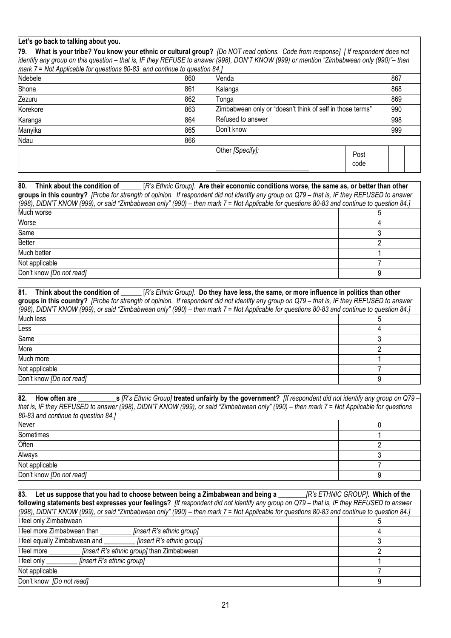# **Let's go back to talking about you.**

**79. What is your tribe? You know your ethnic or cultural group?** *[Do NOT read options. Code from response] [ If respondent does not identify any group on this question – that is, IF they REFUSE to answer (998), DON'T KNOW (999) or mention "Zimbabwean only (990)"– then mark 7 = Not Applicable for questions 80-83 and continue to question 84.]*

| . .      |     |                                                           |     |  |
|----------|-----|-----------------------------------------------------------|-----|--|
| Ndebele  | 860 | Venda                                                     | 867 |  |
| Shona    | 861 | Kalanga                                                   | 868 |  |
| Zezuru   | 862 | Tonga                                                     | 869 |  |
| Korekore | 863 | Zimbabwean only or "doesn't think of self in those terms" | 990 |  |
| Karanga  | 864 | Refused to answer                                         | 998 |  |
| Manyika  | 865 | Don't know                                                | 999 |  |
| Ndau     | 866 |                                                           |     |  |
|          |     | Other [Specify]:<br>Post<br>code                          |     |  |

| 80.<br>Think about the condition of [R's Ethnic Group]. Are their economic conditions worse, the same as, or better than other                 |  |  |  |  |  |
|------------------------------------------------------------------------------------------------------------------------------------------------|--|--|--|--|--|
| groups in this country? [Probe for strength of opinion. If respondent did not identify any group on $Q79$ – that is, IF they REFUSED to answer |  |  |  |  |  |
| [(998), DIDN'T KNOW (999), or said "Zimbabwean only" (990) – then mark 7 = Not Applicable for questions 80-83 and continue to question 84.]    |  |  |  |  |  |
| Much worse                                                                                                                                     |  |  |  |  |  |
| Worse                                                                                                                                          |  |  |  |  |  |
| Same                                                                                                                                           |  |  |  |  |  |
| <b>Better</b>                                                                                                                                  |  |  |  |  |  |
| Much better                                                                                                                                    |  |  |  |  |  |
| Not applicable                                                                                                                                 |  |  |  |  |  |
| Don't know [Do not read]                                                                                                                       |  |  |  |  |  |

| 81.<br>Think about the condition of [R's Ethnic Group]. Do they have less, the same, or more influence in politics than other<br>groups in this country? [Probe for strength of opinion. If respondent did not identify any group on $Q79$ – that is, IF they REFUSED to answer |  |  |  |  |
|---------------------------------------------------------------------------------------------------------------------------------------------------------------------------------------------------------------------------------------------------------------------------------|--|--|--|--|
| ((998), DIDN'T KNOW (999), or said "Zimbabwean only" (990) – then mark 7 = Not Applicable for questions 80-83 and continue to question 84.]                                                                                                                                     |  |  |  |  |
| Much less                                                                                                                                                                                                                                                                       |  |  |  |  |
| Less                                                                                                                                                                                                                                                                            |  |  |  |  |
| Same                                                                                                                                                                                                                                                                            |  |  |  |  |
| More                                                                                                                                                                                                                                                                            |  |  |  |  |
| Much more                                                                                                                                                                                                                                                                       |  |  |  |  |
| Not applicable                                                                                                                                                                                                                                                                  |  |  |  |  |
| Don't know [Do not read]                                                                                                                                                                                                                                                        |  |  |  |  |

| 82.<br>How often are $\frac{s}{R}$ 's Ethnic Group] treated unfairly by the government? [If respondent did not identify any group on Q79 - |  |
|--------------------------------------------------------------------------------------------------------------------------------------------|--|
| that is, IF they REFUSED to answer (998), DIDN'T KNOW (999), or said "Zimbabwean only" (990) – then mark 7 = Not Applicable for questions  |  |
| 80-83 and continue to question 84.]                                                                                                        |  |
| Never                                                                                                                                      |  |
| Sometimes                                                                                                                                  |  |
| <b>Often</b>                                                                                                                               |  |
| Always                                                                                                                                     |  |
| Not applicable                                                                                                                             |  |
| Don't know [Do not read]                                                                                                                   |  |

| 83.<br>Let us suppose that you had to choose between being a Zimbabwean and being a                                                        | [R's ETHNIC GROUP]. Which of the |
|--------------------------------------------------------------------------------------------------------------------------------------------|----------------------------------|
| following statements best expresses your feelings? [If respondent did not identify any group on Q79 - that is, IF they REFUSED to answer   |                                  |
| (998), DIDN'T KNOW (999), or said "Zimbabwean only" (990) – then mark 7 = Not Applicable for questions 80-83 and continue to question 84.] |                                  |
| I feel only Zimbabwean                                                                                                                     |                                  |
| I feel more Zimbabwean than<br>[insert R's ethnic group]                                                                                   |                                  |
| I feel equally Zimbabwean and<br>[insert R's ethnic group]                                                                                 |                                  |
| <i>finsert R's ethnic group]</i> than Zimbabwean<br>I feel more                                                                            |                                  |
| I feel only<br>[insert R's ethnic group]                                                                                                   |                                  |
| Not applicable                                                                                                                             |                                  |
| Don't know [Do not read]                                                                                                                   |                                  |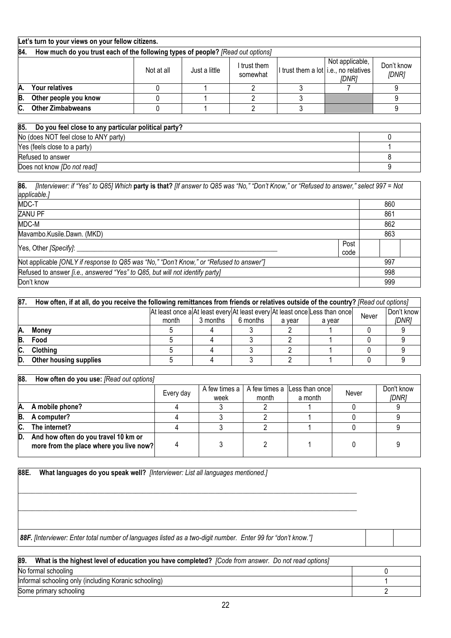|                                                                                                                                                            | Let's turn to your views on your fellow citizens.                               |  |  |  |  |  |  |  |
|------------------------------------------------------------------------------------------------------------------------------------------------------------|---------------------------------------------------------------------------------|--|--|--|--|--|--|--|
| 84.                                                                                                                                                        | How much do you trust each of the following types of people? [Read out options] |  |  |  |  |  |  |  |
| Not applicable,<br>Don't know<br>I trust them<br>I trust them a lot i.e., no relatives<br>Not at all<br>Just a little<br>somewhat<br>[DNR]<br><b>IDNR1</b> |                                                                                 |  |  |  |  |  |  |  |
| IA.                                                                                                                                                        | Your relatives                                                                  |  |  |  |  |  |  |  |
| IB.                                                                                                                                                        | Other people you know                                                           |  |  |  |  |  |  |  |
| IC.                                                                                                                                                        | <b>Other Zimbabweans</b>                                                        |  |  |  |  |  |  |  |
|                                                                                                                                                            |                                                                                 |  |  |  |  |  |  |  |

| 85.<br>Do you feel close to any particular political party? |  |
|-------------------------------------------------------------|--|
| No (does NOT feel close to ANY party)                       |  |
| Yes (feels close to a party)                                |  |
| Refused to answer                                           |  |
| Does not know <i>[Do not read]</i>                          |  |

**86.** *[Interviewer: if "Yes" to Q85] Which* **party is that?** *[If answer to Q85 was "No," "Don't Know," or "Refused to answer," select 997 = Not applicable.]* MDC-T 860 zanu PF 861 MDC-M 862 Mavambo.Kusile.Dawn. (MKD) 863 Yes, Other [Specify]: Post code Not applicable *[ONLY if response to Q85 was "No," "Don't Know," or "Refused to answer"]* 997 Refused to answer *[i.e., answered "Yes" to Q85, but will not identify party]* Provided to answer *[i.e., answered "Yes" to Q85, but will not identify party]* Don't know 999

| 87. | How often, if at all, do you receive the following remittances from friends or relatives outside of the country? [Read out options] |       |          |          |        |                                                                            |       |            |
|-----|-------------------------------------------------------------------------------------------------------------------------------------|-------|----------|----------|--------|----------------------------------------------------------------------------|-------|------------|
|     |                                                                                                                                     |       |          |          |        | At least once a At least every At least every At least once Less than once | Never | Don't know |
|     |                                                                                                                                     | month | 3 months | 6 months | a vear | a vear                                                                     |       | [DNR]      |
| IA. | <b>Money</b>                                                                                                                        |       |          |          |        |                                                                            |       |            |
| B.  | Food                                                                                                                                |       |          |          |        |                                                                            |       |            |
| IC. | <b>Clothing</b>                                                                                                                     |       |          |          |        |                                                                            |       |            |
| ID. | Other housing supplies                                                                                                              |       |          |          |        |                                                                            |       |            |

| 88. | How often do you use: [Read out options]                                        |           |                         |       |                                         |       |                     |
|-----|---------------------------------------------------------------------------------|-----------|-------------------------|-------|-----------------------------------------|-------|---------------------|
|     |                                                                                 | Every day | A few times a I<br>week | month | A few times a Less than once<br>a month | Never | Don't know<br>[DNR] |
| A.  | A mobile phone?                                                                 |           |                         |       |                                         |       |                     |
| B.  | A computer?                                                                     |           |                         |       |                                         |       |                     |
| C.  | The internet?                                                                   |           |                         |       |                                         |       |                     |
| ID. | And how often do you travel 10 km or<br>more from the place where you live now? |           |                         |       |                                         |       |                     |

**88E. What languages do you speak well?** *[Interviewer: List all languages mentioned.]*   $\overline{\phantom{a}}$  , and the set of the set of the set of the set of the set of the set of the set of the set of the set of the set of the set of the set of the set of the set of the set of the set of the set of the set of the s  $\_$  ,  $\_$  ,  $\_$  ,  $\_$  ,  $\_$  ,  $\_$  ,  $\_$  ,  $\_$  ,  $\_$  ,  $\_$  ,  $\_$  ,  $\_$  ,  $\_$  ,  $\_$  ,  $\_$  ,  $\_$  ,  $\_$  ,  $\_$  ,  $\_$  ,  $\_$  ,  $\_$  ,  $\_$  ,  $\_$  ,  $\_$  ,  $\_$  ,  $\_$  ,  $\_$  ,  $\_$  ,  $\_$  ,  $\_$  ,  $\_$  ,  $\_$  ,  $\_$  ,  $\_$  ,  $\_$  ,  $\_$  ,  $\_$  , *88F. [Interviewer: Enter total number of languages listed as a two-digit number. Enter 99 for "don't know."]*

| 89.<br>What is the highest level of education you have completed? [Code from answer. Do not read options] |  |
|-----------------------------------------------------------------------------------------------------------|--|
| No formal schooling                                                                                       |  |
| Informal schooling only (including Koranic schooling)                                                     |  |
| Some primary schooling                                                                                    |  |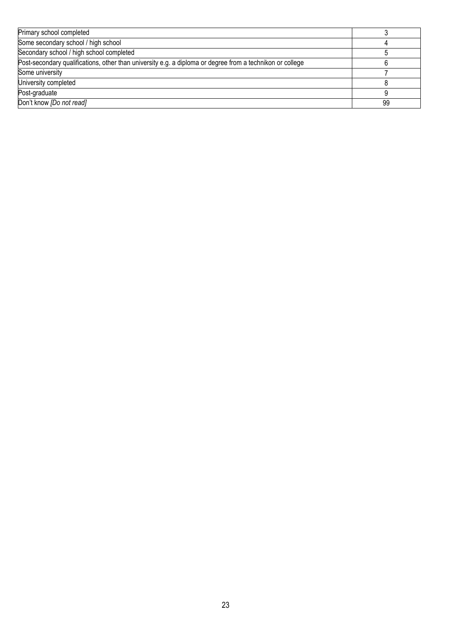| Primary school completed                                                                                  |    |
|-----------------------------------------------------------------------------------------------------------|----|
| Some secondary school / high school                                                                       |    |
| Secondary school / high school completed                                                                  |    |
| Post-secondary qualifications, other than university e.g. a diploma or degree from a technikon or college |    |
| Some university                                                                                           |    |
| University completed                                                                                      |    |
| Post-graduate                                                                                             |    |
| Don't know [Do not read]                                                                                  | 99 |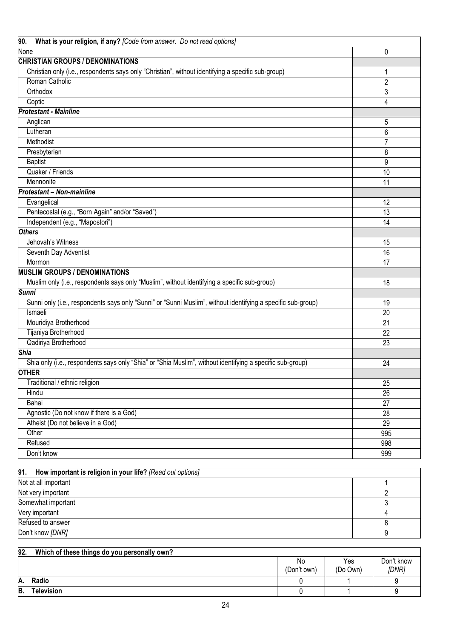| 90.<br>What is your religion, if any? [Code from answer. Do not read options]                                |                |
|--------------------------------------------------------------------------------------------------------------|----------------|
| None                                                                                                         | 0              |
| <b>CHRISTIAN GROUPS / DENOMINATIONS</b>                                                                      |                |
| Christian only (i.e., respondents says only "Christian", without identifying a specific sub-group)           | 1              |
| Roman Catholic                                                                                               | $\overline{2}$ |
| Orthodox                                                                                                     | 3              |
| Coptic                                                                                                       | 4              |
| <b>Protestant - Mainline</b>                                                                                 |                |
| Anglican                                                                                                     | 5              |
| Lutheran                                                                                                     | 6              |
| Methodist                                                                                                    | $\overline{7}$ |
| Presbyterian                                                                                                 | 8              |
| <b>Baptist</b>                                                                                               | 9              |
| Quaker / Friends                                                                                             | 10             |
| Mennonite                                                                                                    | 11             |
| <b>Protestant - Non-mainline</b>                                                                             |                |
| Evangelical                                                                                                  | 12             |
| Pentecostal (e.g., "Born Again" and/or "Saved")                                                              | 13             |
| Independent (e.g., "Mapostori")                                                                              | 14             |
| <b>Others</b>                                                                                                |                |
| Jehovah's Witness                                                                                            | 15             |
| Seventh Day Adventist                                                                                        | 16             |
| Mormon                                                                                                       | 17             |
| <b>MUSLIM GROUPS / DENOMINATIONS</b>                                                                         |                |
| Muslim only (i.e., respondents says only "Muslim", without identifying a specific sub-group)                 | 18             |
| <b>Sunni</b>                                                                                                 |                |
| Sunni only (i.e., respondents says only "Sunni" or "Sunni Muslim", without identifying a specific sub-group) | 19             |
| Ismaeli                                                                                                      | 20             |
| Mouridiya Brotherhood                                                                                        | 21             |
| Tijaniya Brotherhood                                                                                         | 22             |
| Qadiriya Brotherhood                                                                                         | 23             |
| <b>Shia</b>                                                                                                  |                |
| Shia only (i.e., respondents says only "Shia" or "Shia Muslim", without identifying a specific sub-group)    | 24             |
| <b>OTHER</b>                                                                                                 |                |
| Traditional / ethnic religion                                                                                | 25             |
| Hindu                                                                                                        | 26             |
| Bahai                                                                                                        | 27             |
| Agnostic (Do not know if there is a God)                                                                     | 28             |
| Atheist (Do not believe in a God)                                                                            | 29             |
| Other                                                                                                        | 995            |
| Refused                                                                                                      | 998            |
| Don't know                                                                                                   | 999            |
|                                                                                                              |                |
| 91.<br>How important is religion in your life? [Read out options]                                            |                |
| Not at all important                                                                                         | 1              |
| Not very important                                                                                           | $\overline{c}$ |
| Somewhat important                                                                                           | 3              |
| Very important                                                                                               | 4              |
| Refused to answer                                                                                            | 8              |

| 92.                                                         | Which of these things do you personally own? |  |  |  |  |
|-------------------------------------------------------------|----------------------------------------------|--|--|--|--|
| Don't know<br>Yes<br>No<br>[DNR]<br>(Don't own)<br>(Do Own) |                                              |  |  |  |  |
| A.                                                          | Radio                                        |  |  |  |  |
| B.                                                          | <b>Television</b>                            |  |  |  |  |

Don't know *[DNR]* 9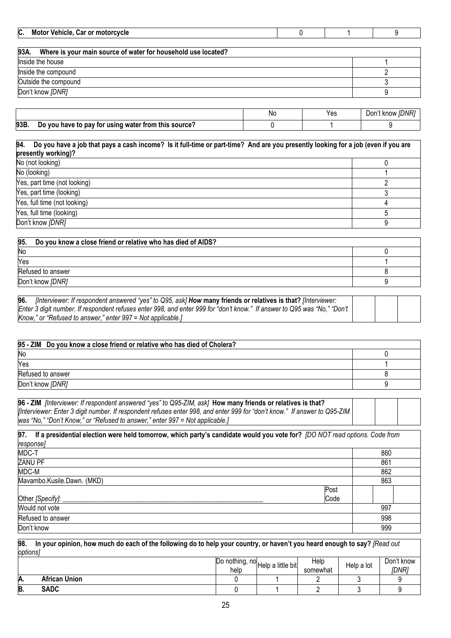| C. Motor Vehicle, Car or motorcycle                                   |           |  |                |               |
|-----------------------------------------------------------------------|-----------|--|----------------|---------------|
|                                                                       |           |  |                |               |
| Where is your main source of water for household use located?<br>93A. |           |  |                |               |
| Inside the house                                                      |           |  |                |               |
| Inside the compound                                                   |           |  |                |               |
| Outside the compound                                                  |           |  |                |               |
| Don't know [DNR]                                                      |           |  |                |               |
|                                                                       |           |  |                |               |
|                                                                       | <b>AL</b> |  | $\mathbf{v}$ . | $P = 111.777$ |

|      |                                                      | No | Yes | Don't know [DNR] |
|------|------------------------------------------------------|----|-----|------------------|
| 93B. | Do you have to pay for using water from this source? |    |     |                  |

# **94. Do you have a job that pays a cash income? Is it full-time or part-time? And are you presently looking for a job (even if you are presently working)?**  No (not looking) 0 No (looking) and the contract of the contract of the contract of the contract of the contract of the contract of the contract of the contract of the contract of the contract of the contract of the contract of the contract Yes, part time (not looking) 2 Yes, part time (looking) 3 Yes, full time (not looking) 4

Yes, full time (looking) 5 Don't know *[DNR]* 9

| 95.<br>Do you know a close friend or relative who has died of AIDS? |  |
|---------------------------------------------------------------------|--|
| No                                                                  |  |
| Yes                                                                 |  |
| Refused to answer                                                   |  |
| Don't know [DNR]                                                    |  |

| 96. | [Interviewer: If respondent answered "yes" to Q95, ask] How many friends or relatives is that? [Interviewer:             |  |  |
|-----|--------------------------------------------------------------------------------------------------------------------------|--|--|
|     | Enter 3 digit number. If respondent refuses enter 998, and enter 999 for "don't know." If answer to Q95 was "No," "Don't |  |  |
|     | Know," or "Refused to answer," enter 997 = Not applicable.]                                                              |  |  |

| 95 - ZIM Do you know a close friend or relative who has died of Cholera? |  |
|--------------------------------------------------------------------------|--|
| No                                                                       |  |
| Yes                                                                      |  |
| Refused to answer                                                        |  |
| Don't know [DNR]                                                         |  |

| 96 - ZIM /Interviewer: If respondent answered "yes" to Q95-ZIM, ask] How many friends or relatives is that?               |  |  |
|---------------------------------------------------------------------------------------------------------------------------|--|--|
| [Interviewer: Enter 3 digit number. If respondent refuses enter 998, and enter 999 for "don't know." If answer to Q95-ZIM |  |  |
| was "No," "Don't Know," or "Refused to answer," enter 997 = Not applicable.]                                              |  |  |

**97. If a presidential election were held tomorrow, which party's candidate would you vote for?** *[DO NOT read options. Code from response]* MDC-T 860 ZANU PF 861 MDC-M 862 Mavambo.Kusile.Dawn. (MKD) 863 Other [Specify]: Post Code Would not vote 997 **Refused to answer 998** Don't know 999

**98. In your opinion, how much do each of the following do to help your country, or haven't you heard enough to say?** *[Read out options]* 

|    |                      | Do nothing,<br>help | no Help a little bit | Help<br>somewhat | Help a lot | Don't know<br>[DNR] |
|----|----------------------|---------------------|----------------------|------------------|------------|---------------------|
| A. | <b>African Union</b> |                     |                      |                  |            |                     |
| B. | <b>SADC</b>          |                     |                      |                  |            |                     |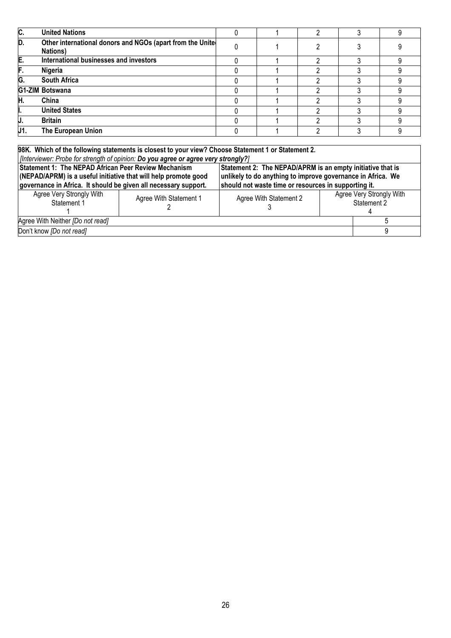| IC.  | <b>United Nations</b>                                                        |  |   |  |
|------|------------------------------------------------------------------------------|--|---|--|
| ID.  | Other international donors and NGOs (apart from the Unite<br><b>Nations)</b> |  |   |  |
| E.   | International businesses and investors                                       |  |   |  |
| F.   | Nigeria                                                                      |  |   |  |
| IG.  | <b>South Africa</b>                                                          |  |   |  |
|      | G1-ZIM Botswana                                                              |  |   |  |
| Н.   | China                                                                        |  |   |  |
|      | <b>United States</b>                                                         |  |   |  |
| IJ.  | <b>Britain</b>                                                               |  | n |  |
| IJ1. | The European Union                                                           |  |   |  |

**98K. Which of the following statements is closest to your view? Choose Statement 1 or Statement 2.**  *[Interviewer: Probe for strength of opinion: Do you agree or agree very strongly?]*  **Statement 1: The NEPAD African Peer Review Mechanism (NEPAD/APRM) is a useful initiative that will help promote good governance in Africa. It should be given all necessary support. Statement 2: The NEPAD/APRM is an empty initiative that is unlikely to do anything to improve governance in Africa. We should not waste time or resources in supporting it.**  Agree Very Strongly With Statement 1 1 Agree With Statement 1 2 Agree With Statement 2 3 **Agree Very Strongly With** Statement 2 4 Agree With Neither *[Do not read]* 5 Don't know *[Do not read]* 9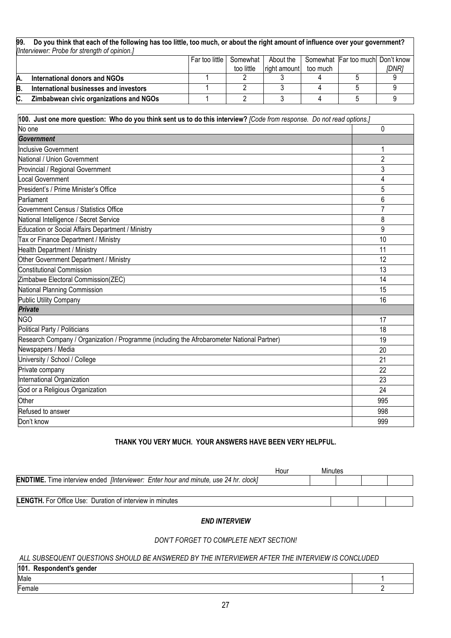| 99. | Do you think that each of the following has too little, too much, or about the right amount of influence over your government? |  |            |              |          |  |       |  |  |
|-----|--------------------------------------------------------------------------------------------------------------------------------|--|------------|--------------|----------|--|-------|--|--|
|     | [Interviewer: Probe for strength of opinion.]                                                                                  |  |            |              |          |  |       |  |  |
|     | Somewhat Far too much Don't know<br>Far too little<br>About the<br>Somewhat                                                    |  |            |              |          |  |       |  |  |
|     |                                                                                                                                |  | too little | right amount | too much |  | IDNR1 |  |  |
| Α.  | International donors and NGOs                                                                                                  |  |            |              |          |  |       |  |  |
| B   | International businesses and investors                                                                                         |  |            |              |          |  |       |  |  |
| C.  | Zimbabwean civic organizations and NGOs                                                                                        |  |            |              |          |  |       |  |  |

| 100. Just one more question: Who do you think sent us to do this interview? [Code from response. Do not read options.] |                |  |  |
|------------------------------------------------------------------------------------------------------------------------|----------------|--|--|
| No one                                                                                                                 | 0              |  |  |
| Government                                                                                                             |                |  |  |
| <b>Inclusive Government</b>                                                                                            | 1              |  |  |
| National / Union Government                                                                                            | $\overline{2}$ |  |  |
| Provincial / Regional Government                                                                                       | 3              |  |  |
| ocal Government                                                                                                        | 4              |  |  |
| President's / Prime Minister's Office                                                                                  | 5              |  |  |
| Parliament                                                                                                             | 6              |  |  |
| Government Census / Statistics Office                                                                                  | 7              |  |  |
| National Intelligence / Secret Service                                                                                 | 8              |  |  |
| Education or Social Affairs Department / Ministry                                                                      | 9              |  |  |
| Tax or Finance Department / Ministry                                                                                   | 10             |  |  |
| <b>Health Department / Ministry</b>                                                                                    | 11             |  |  |
| Other Government Department / Ministry                                                                                 | 12             |  |  |
| <b>Constitutional Commission</b>                                                                                       | 13             |  |  |
| Zimbabwe Electoral Commission(ZEC)                                                                                     | 14             |  |  |
| National Planning Commission                                                                                           | 15             |  |  |
| <b>Public Utility Company</b>                                                                                          | 16             |  |  |
| <b>Private</b>                                                                                                         |                |  |  |
| <b>NGO</b>                                                                                                             | 17             |  |  |
| Political Party / Politicians                                                                                          | 18             |  |  |
| Research Company / Organization / Programme (including the Afrobarometer National Partner)                             | 19             |  |  |
| Newspapers / Media                                                                                                     | 20             |  |  |
| University / School / College                                                                                          | 21             |  |  |
| Private company                                                                                                        | 22             |  |  |
| International Organization                                                                                             | 23             |  |  |
| God or a Religious Organization                                                                                        | 24             |  |  |
| Other                                                                                                                  | 995            |  |  |
| Refused to answer                                                                                                      | 998            |  |  |
| Don't know                                                                                                             | 999            |  |  |

# **THANK YOU VERY MUCH. YOUR ANSWERS HAVE BEEN VERY HELPFUL.**

|                                                                                                    | Hour | Minutes |  |  |
|----------------------------------------------------------------------------------------------------|------|---------|--|--|
| <b>ENDTIME.</b> Time interview ended <i>[Interviewer: Enter hour and minute, use 24 hr. clock]</i> |      |         |  |  |
|                                                                                                    |      |         |  |  |
| <b>LENGTH.</b> For Office Use: Duration of interview in minutes                                    |      |         |  |  |

# *END INTERVIEW*

# *DON'T FORGET TO COMPLETE NEXT SECTION!*

#### *ALL SUBSEQUENT QUESTIONS SHOULD BE ANSWERED BY THE INTERVIEWER AFTER THE INTERVIEW IS CONCLUDED*

| 101. Respondent's gender |  |
|--------------------------|--|
| Male                     |  |
| Female                   |  |
|                          |  |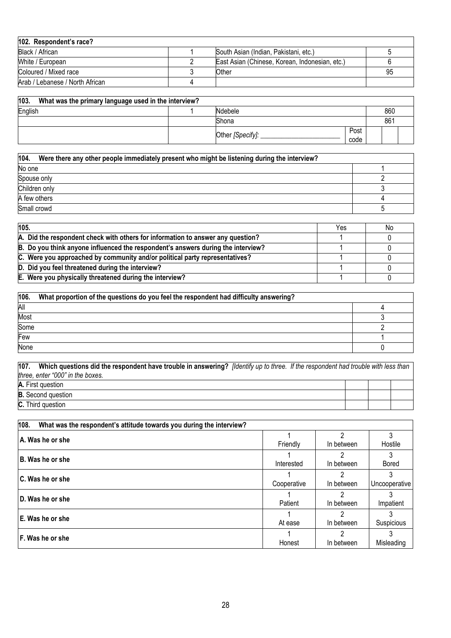| 102. Respondent's race?         |                                                |    |
|---------------------------------|------------------------------------------------|----|
| Black / African                 | South Asian (Indian, Pakistani, etc.)          |    |
| White / European                | East Asian (Chinese, Korean, Indonesian, etc.) |    |
| Coloured / Mixed race           | Other                                          | 95 |
| Arab / Lebanese / North African |                                                |    |

| 103.<br>What was the primary language used in the interview? |  |                  |              |  |     |  |  |  |
|--------------------------------------------------------------|--|------------------|--------------|--|-----|--|--|--|
| English                                                      |  | Ndebele          |              |  | 860 |  |  |  |
|                                                              |  | Shona            |              |  | 861 |  |  |  |
|                                                              |  | Other [Specify]: | Post<br>code |  |     |  |  |  |

| 104.<br>Were there any other people immediately present who might be listening during the interview? |  |
|------------------------------------------------------------------------------------------------------|--|
| No one                                                                                               |  |
| Spouse only                                                                                          |  |
| Children only                                                                                        |  |
| A few others                                                                                         |  |
| Small crowd                                                                                          |  |

| 105.                                                                             |  | No |
|----------------------------------------------------------------------------------|--|----|
| A. Did the respondent check with others for information to answer any question?  |  |    |
| B. Do you think anyone influenced the respondent's answers during the interview? |  |    |
| C. Were you approached by community and/or political party representatives?      |  |    |
| D. Did you feel threatened during the interview?                                 |  |    |
| E. Were you physically threatened during the interview?                          |  |    |

| 106. | What proportion of the questions do you feel the respondent had difficulty answering? |  |
|------|---------------------------------------------------------------------------------------|--|
| All  |                                                                                       |  |
| Most |                                                                                       |  |
| Some |                                                                                       |  |
| Few  |                                                                                       |  |
| None |                                                                                       |  |

**107. Which questions did the respondent have trouble in answering?** *[Identify up to three. If the respondent had trouble with less than three, enter "000" in the boxes.* **A.** First question

**B.** Second question **C.** Third question

| 108.<br>What was the respondent's attitude towards you during the interview? |             |            |               |
|------------------------------------------------------------------------------|-------------|------------|---------------|
| A. Was he or she                                                             | Friendly    | In between | Hostile       |
| <b>B. Was he or she</b>                                                      | Interested  | In between | <b>Bored</b>  |
| l C. Was he or she                                                           | Cooperative | In between | Uncooperative |
| <b>ID. Was he or she</b>                                                     | Patient     | In between | Impatient     |
| l E. Was he or she                                                           | At ease     | In between | Suspicious    |
| <b>IF. Was he or she</b>                                                     | Honest      | In between | Misleading    |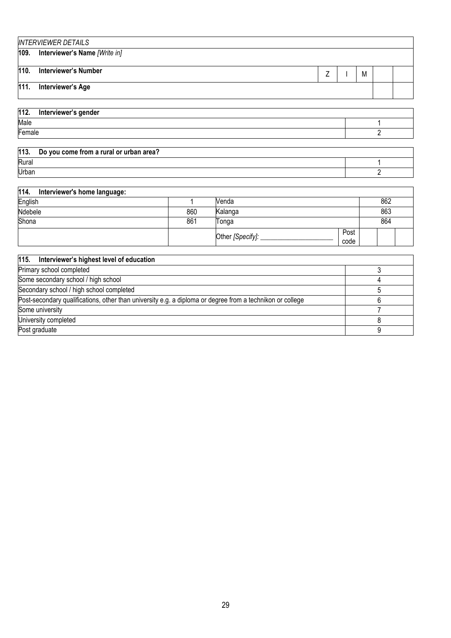|      | <b>INTERVIEWER DETAILS</b>         |  |  |  |   |  |  |  |
|------|------------------------------------|--|--|--|---|--|--|--|
|      | 109. Interviewer's Name [Write in] |  |  |  |   |  |  |  |
| 110. | <b>Interviewer's Number</b>        |  |  |  | M |  |  |  |
| 111. | <b>Interviewer's Age</b>           |  |  |  |   |  |  |  |
|      |                                    |  |  |  |   |  |  |  |
| 112. | Interviewer's gender               |  |  |  |   |  |  |  |
| Male |                                    |  |  |  |   |  |  |  |

Female 2. In the set of the set of the set of the set of the set of the set of the set of the set of the set of the set of the set of the set of the set of the set of the set of the set of the set of the set of the set of

| 113.  | Do you come from a rural or urban area? |  |
|-------|-----------------------------------------|--|
| Rural |                                         |  |
| Urban |                                         |  |

| 114.<br>Interviewer's home language: |     |                    |              |     |  |
|--------------------------------------|-----|--------------------|--------------|-----|--|
| English                              |     | Venda              |              | 862 |  |
| Ndebele                              | 860 | Kalanga            |              | 863 |  |
| Shona                                | 861 | Tonga              |              | 864 |  |
|                                      |     | Other [Specify]: _ | Post<br>code |     |  |

| 115. Interviewer's highest level of education                                                             |  |
|-----------------------------------------------------------------------------------------------------------|--|
| Primary school completed                                                                                  |  |
| Some secondary school / high school                                                                       |  |
| Secondary school / high school completed                                                                  |  |
| Post-secondary qualifications, other than university e.g. a diploma or degree from a technikon or college |  |
| Some university                                                                                           |  |
| University completed                                                                                      |  |
| Post graduate                                                                                             |  |